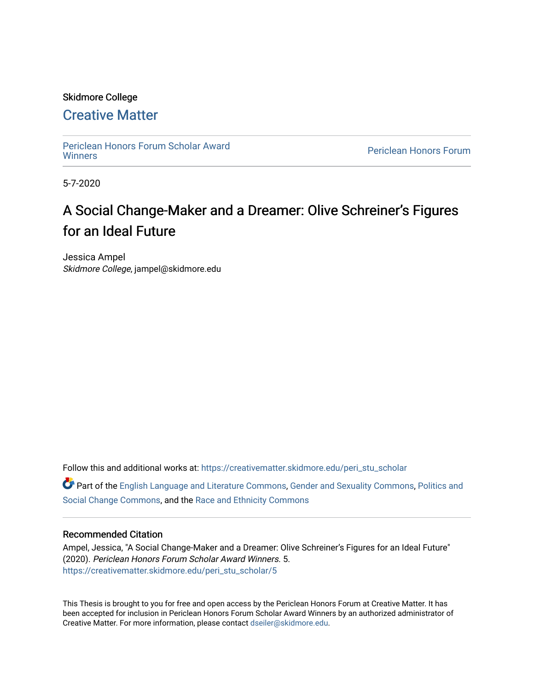### Skidmore College

# [Creative Matter](https://creativematter.skidmore.edu/)

[Periclean Honors Forum Scholar Award](https://creativematter.skidmore.edu/peri_stu_scholar) 

Periclean Honors Forum

5-7-2020

# A Social Change-Maker and a Dreamer: Olive Schreiner's Figures for an Ideal Future

Jessica Ampel Skidmore College, jampel@skidmore.edu

Follow this and additional works at: [https://creativematter.skidmore.edu/peri\\_stu\\_scholar](https://creativematter.skidmore.edu/peri_stu_scholar?utm_source=creativematter.skidmore.edu%2Fperi_stu_scholar%2F5&utm_medium=PDF&utm_campaign=PDFCoverPages) 

Part of the [English Language and Literature Commons](http://network.bepress.com/hgg/discipline/455?utm_source=creativematter.skidmore.edu%2Fperi_stu_scholar%2F5&utm_medium=PDF&utm_campaign=PDFCoverPages), [Gender and Sexuality Commons,](http://network.bepress.com/hgg/discipline/420?utm_source=creativematter.skidmore.edu%2Fperi_stu_scholar%2F5&utm_medium=PDF&utm_campaign=PDFCoverPages) [Politics and](http://network.bepress.com/hgg/discipline/425?utm_source=creativematter.skidmore.edu%2Fperi_stu_scholar%2F5&utm_medium=PDF&utm_campaign=PDFCoverPages) [Social Change Commons](http://network.bepress.com/hgg/discipline/425?utm_source=creativematter.skidmore.edu%2Fperi_stu_scholar%2F5&utm_medium=PDF&utm_campaign=PDFCoverPages), and the [Race and Ethnicity Commons](http://network.bepress.com/hgg/discipline/426?utm_source=creativematter.skidmore.edu%2Fperi_stu_scholar%2F5&utm_medium=PDF&utm_campaign=PDFCoverPages) 

#### Recommended Citation

Ampel, Jessica, "A Social Change-Maker and a Dreamer: Olive Schreiner's Figures for an Ideal Future" (2020). Periclean Honors Forum Scholar Award Winners. 5. [https://creativematter.skidmore.edu/peri\\_stu\\_scholar/5](https://creativematter.skidmore.edu/peri_stu_scholar/5?utm_source=creativematter.skidmore.edu%2Fperi_stu_scholar%2F5&utm_medium=PDF&utm_campaign=PDFCoverPages) 

This Thesis is brought to you for free and open access by the Periclean Honors Forum at Creative Matter. It has been accepted for inclusion in Periclean Honors Forum Scholar Award Winners by an authorized administrator of Creative Matter. For more information, please contact [dseiler@skidmore.edu](mailto:dseiler@skidmore.edu).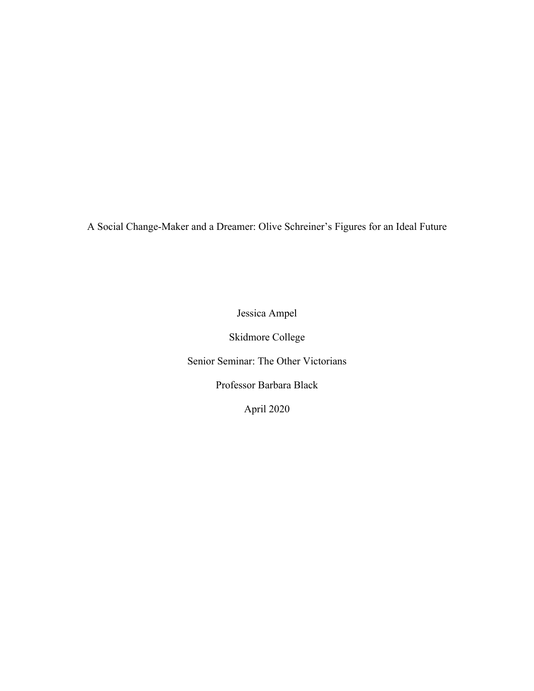A Social Change-Maker and a Dreamer: Olive Schreiner's Figures for an Ideal Future

Jessica Ampel

Skidmore College

Senior Seminar: The Other Victorians

Professor Barbara Black

April 2020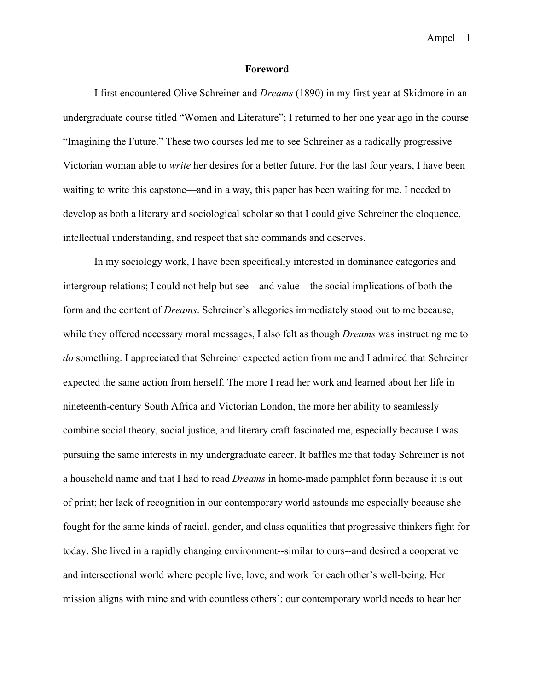#### **Foreword**

I first encountered Olive Schreiner and *Dreams* (1890) in my first year at Skidmore in an undergraduate course titled "Women and Literature"; I returned to her one year ago in the course "Imagining the Future." These two courses led me to see Schreiner as a radically progressive Victorian woman able to *write* her desires for a better future. For the last four years, I have been waiting to write this capstone—and in a way, this paper has been waiting for me. I needed to develop as both a literary and sociological scholar so that I could give Schreiner the eloquence, intellectual understanding, and respect that she commands and deserves.

In my sociology work, I have been specifically interested in dominance categories and intergroup relations; I could not help but see—and value—the social implications of both the form and the content of *Dreams*. Schreiner's allegories immediately stood out to me because, while they offered necessary moral messages, I also felt as though *Dreams* was instructing me to *do* something. I appreciated that Schreiner expected action from me and I admired that Schreiner expected the same action from herself. The more I read her work and learned about her life in nineteenth-century South Africa and Victorian London, the more her ability to seamlessly combine social theory, social justice, and literary craft fascinated me, especially because I was pursuing the same interests in my undergraduate career. It baffles me that today Schreiner is not a household name and that I had to read *Dreams* in home-made pamphlet form because it is out of print; her lack of recognition in our contemporary world astounds me especially because she fought for the same kinds of racial, gender, and class equalities that progressive thinkers fight for today. She lived in a rapidly changing environment--similar to ours--and desired a cooperative and intersectional world where people live, love, and work for each other's well-being. Her mission aligns with mine and with countless others'; our contemporary world needs to hear her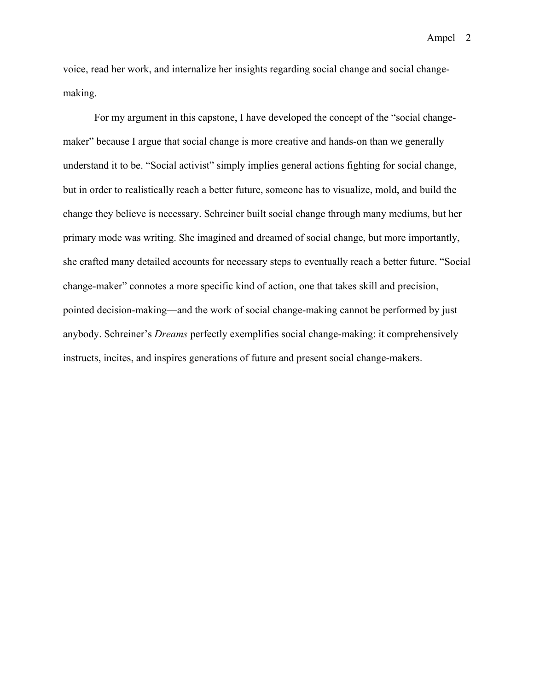voice, read her work, and internalize her insights regarding social change and social changemaking.

For my argument in this capstone, I have developed the concept of the "social changemaker" because I argue that social change is more creative and hands-on than we generally understand it to be. "Social activist" simply implies general actions fighting for social change, but in order to realistically reach a better future, someone has to visualize, mold, and build the change they believe is necessary. Schreiner built social change through many mediums, but her primary mode was writing. She imagined and dreamed of social change, but more importantly, she crafted many detailed accounts for necessary steps to eventually reach a better future. "Social change-maker" connotes a more specific kind of action, one that takes skill and precision, pointed decision-making—and the work of social change-making cannot be performed by just anybody. Schreiner's *Dreams* perfectly exemplifies social change-making: it comprehensively instructs, incites, and inspires generations of future and present social change-makers.

Ampel 2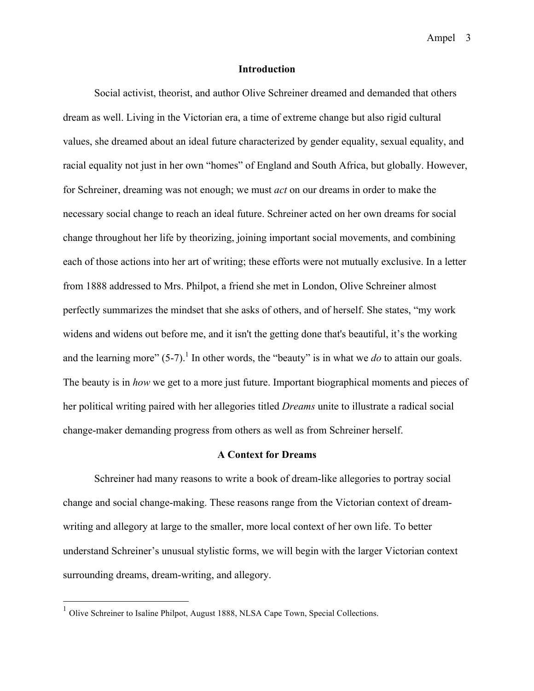#### **Introduction**

Social activist, theorist, and author Olive Schreiner dreamed and demanded that others dream as well. Living in the Victorian era, a time of extreme change but also rigid cultural values, she dreamed about an ideal future characterized by gender equality, sexual equality, and racial equality not just in her own "homes" of England and South Africa, but globally. However, for Schreiner, dreaming was not enough; we must *act* on our dreams in order to make the necessary social change to reach an ideal future. Schreiner acted on her own dreams for social change throughout her life by theorizing, joining important social movements, and combining each of those actions into her art of writing; these efforts were not mutually exclusive. In a letter from 1888 addressed to Mrs. Philpot, a friend she met in London, Olive Schreiner almost perfectly summarizes the mindset that she asks of others, and of herself. She states, "my work widens and widens out before me, and it isn't the getting done that's beautiful, it's the working and the learning more"  $(5-7)$ .<sup>1</sup> In other words, the "beauty" is in what we *do* to attain our goals. The beauty is in *how* we get to a more just future. Important biographical moments and pieces of her political writing paired with her allegories titled *Dreams* unite to illustrate a radical social change-maker demanding progress from others as well as from Schreiner herself.

#### **A Context for Dreams**

Schreiner had many reasons to write a book of dream-like allegories to portray social change and social change-making. These reasons range from the Victorian context of dreamwriting and allegory at large to the smaller, more local context of her own life. To better understand Schreiner's unusual stylistic forms, we will begin with the larger Victorian context surrounding dreams, dream-writing, and allegory.

<sup>&</sup>lt;sup>1</sup> Olive Schreiner to Isaline Philpot, August 1888, NLSA Cape Town, Special Collections.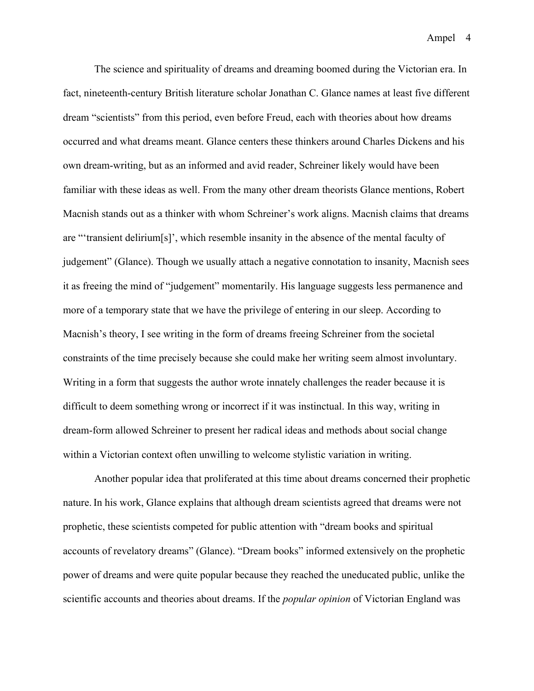The science and spirituality of dreams and dreaming boomed during the Victorian era. In fact, nineteenth-century British literature scholar Jonathan C. Glance names at least five different dream "scientists" from this period, even before Freud, each with theories about how dreams occurred and what dreams meant. Glance centers these thinkers around Charles Dickens and his own dream-writing, but as an informed and avid reader, Schreiner likely would have been familiar with these ideas as well. From the many other dream theorists Glance mentions, Robert Macnish stands out as a thinker with whom Schreiner's work aligns. Macnish claims that dreams are "'transient delirium[s]', which resemble insanity in the absence of the mental faculty of judgement" (Glance). Though we usually attach a negative connotation to insanity, Macnish sees it as freeing the mind of "judgement" momentarily. His language suggests less permanence and more of a temporary state that we have the privilege of entering in our sleep. According to Macnish's theory, I see writing in the form of dreams freeing Schreiner from the societal constraints of the time precisely because she could make her writing seem almost involuntary. Writing in a form that suggests the author wrote innately challenges the reader because it is difficult to deem something wrong or incorrect if it was instinctual. In this way, writing in dream-form allowed Schreiner to present her radical ideas and methods about social change within a Victorian context often unwilling to welcome stylistic variation in writing.

Another popular idea that proliferated at this time about dreams concerned their prophetic nature. In his work, Glance explains that although dream scientists agreed that dreams were not prophetic, these scientists competed for public attention with "dream books and spiritual accounts of revelatory dreams" (Glance). "Dream books" informed extensively on the prophetic power of dreams and were quite popular because they reached the uneducated public, unlike the scientific accounts and theories about dreams. If the *popular opinion* of Victorian England was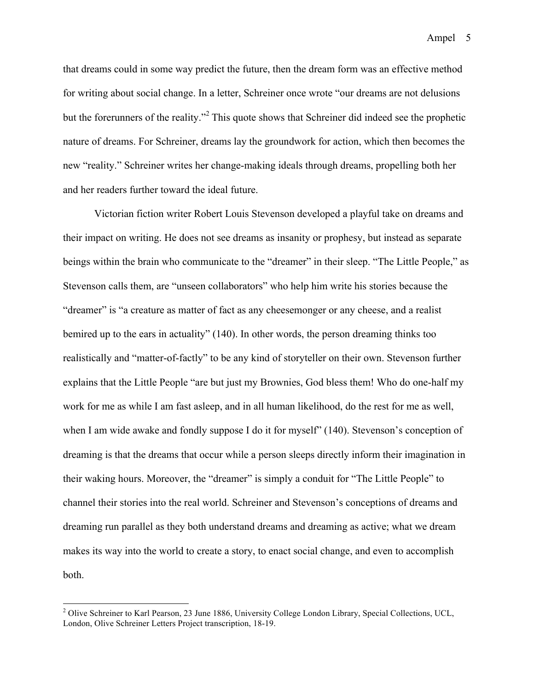that dreams could in some way predict the future, then the dream form was an effective method for writing about social change. In a letter, Schreiner once wrote "our dreams are not delusions but the forerunners of the reality."<sup>2</sup> This quote shows that Schreiner did indeed see the prophetic nature of dreams. For Schreiner, dreams lay the groundwork for action, which then becomes the new "reality." Schreiner writes her change-making ideals through dreams, propelling both her and her readers further toward the ideal future.

Victorian fiction writer Robert Louis Stevenson developed a playful take on dreams and their impact on writing. He does not see dreams as insanity or prophesy, but instead as separate beings within the brain who communicate to the "dreamer" in their sleep. "The Little People," as Stevenson calls them, are "unseen collaborators" who help him write his stories because the "dreamer" is "a creature as matter of fact as any cheesemonger or any cheese, and a realist bemired up to the ears in actuality" (140). In other words, the person dreaming thinks too realistically and "matter-of-factly" to be any kind of storyteller on their own. Stevenson further explains that the Little People "are but just my Brownies, God bless them! Who do one-half my work for me as while I am fast asleep, and in all human likelihood, do the rest for me as well, when I am wide awake and fondly suppose I do it for myself" (140). Stevenson's conception of dreaming is that the dreams that occur while a person sleeps directly inform their imagination in their waking hours. Moreover, the "dreamer" is simply a conduit for "The Little People" to channel their stories into the real world. Schreiner and Stevenson's conceptions of dreams and dreaming run parallel as they both understand dreams and dreaming as active; what we dream makes its way into the world to create a story, to enact social change, and even to accomplish both.

<sup>&</sup>lt;sup>2</sup> Olive Schreiner to Karl Pearson, 23 June 1886, University College London Library, Special Collections, UCL, London, Olive Schreiner Letters Project transcription, 18-19.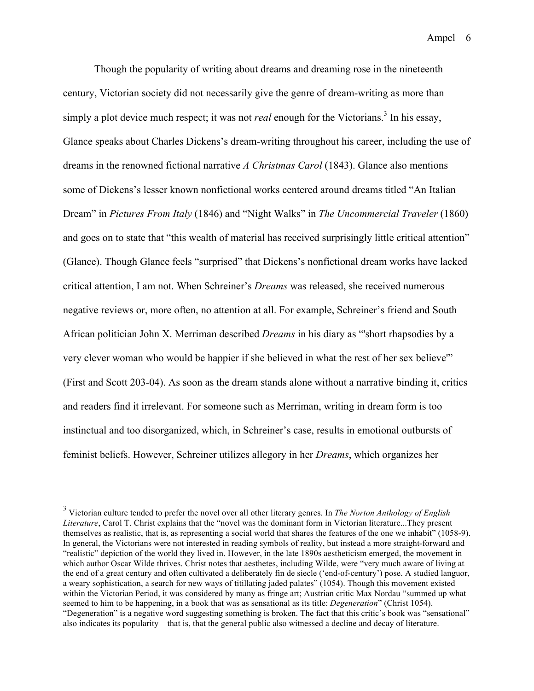Though the popularity of writing about dreams and dreaming rose in the nineteenth century, Victorian society did not necessarily give the genre of dream-writing as more than simply a plot device much respect; it was not *real* enough for the Victorians. <sup>3</sup> In his essay, Glance speaks about Charles Dickens's dream-writing throughout his career, including the use of dreams in the renowned fictional narrative *A Christmas Carol* (1843). Glance also mentions some of Dickens's lesser known nonfictional works centered around dreams titled "An Italian Dream" in *Pictures From Italy* (1846) and "Night Walks" in *The Uncommercial Traveler* (1860) and goes on to state that "this wealth of material has received surprisingly little critical attention" (Glance). Though Glance feels "surprised" that Dickens's nonfictional dream works have lacked critical attention, I am not. When Schreiner's *Dreams* was released, she received numerous negative reviews or, more often, no attention at all. For example, Schreiner's friend and South African politician John X. Merriman described *Dreams* in his diary as "'short rhapsodies by a very clever woman who would be happier if she believed in what the rest of her sex believe'" (First and Scott 203-04). As soon as the dream stands alone without a narrative binding it, critics and readers find it irrelevant. For someone such as Merriman, writing in dream form is too instinctual and too disorganized, which, in Schreiner's case, results in emotional outbursts of feminist beliefs. However, Schreiner utilizes allegory in her *Dreams*, which organizes her

 <sup>3</sup> Victorian culture tended to prefer the novel over all other literary genres. In *The Norton Anthology of English Literature*, Carol T. Christ explains that the "novel was the dominant form in Victorian literature...They present themselves as realistic, that is, as representing a social world that shares the features of the one we inhabit" (1058-9). In general, the Victorians were not interested in reading symbols of reality, but instead a more straight-forward and "realistic" depiction of the world they lived in. However, in the late 1890s aestheticism emerged, the movement in which author Oscar Wilde thrives. Christ notes that aesthetes, including Wilde, were "very much aware of living at the end of a great century and often cultivated a deliberately fin de siecle ('end-of-century') pose. A studied languor, a weary sophistication, a search for new ways of titillating jaded palates" (1054). Though this movement existed within the Victorian Period, it was considered by many as fringe art; Austrian critic Max Nordau "summed up what seemed to him to be happening, in a book that was as sensational as its title: *Degeneration*" (Christ 1054). "Degeneration" is a negative word suggesting something is broken. The fact that this critic's book was "sensational" also indicates its popularity—that is, that the general public also witnessed a decline and decay of literature.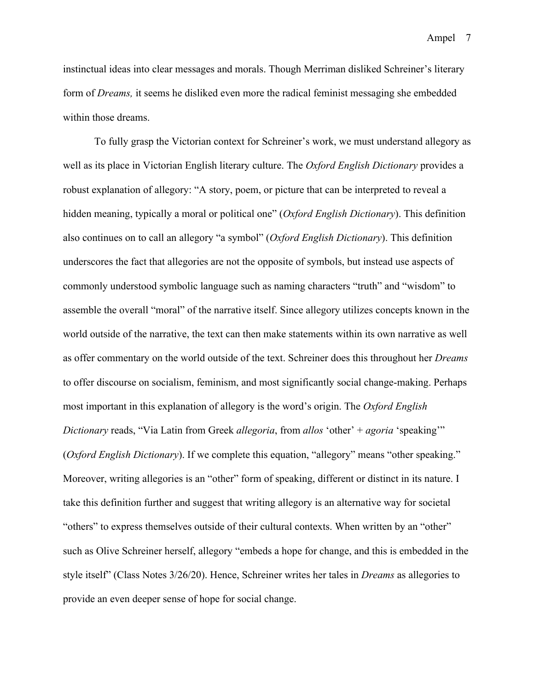instinctual ideas into clear messages and morals. Though Merriman disliked Schreiner's literary form of *Dreams,* it seems he disliked even more the radical feminist messaging she embedded within those dreams.

To fully grasp the Victorian context for Schreiner's work, we must understand allegory as well as its place in Victorian English literary culture. The *Oxford English Dictionary* provides a robust explanation of allegory: "A story, poem, or picture that can be interpreted to reveal a hidden meaning, typically a moral or political one" (*Oxford English Dictionary*). This definition also continues on to call an allegory "a symbol" (*Oxford English Dictionary*). This definition underscores the fact that allegories are not the opposite of symbols, but instead use aspects of commonly understood symbolic language such as naming characters "truth" and "wisdom" to assemble the overall "moral" of the narrative itself. Since allegory utilizes concepts known in the world outside of the narrative, the text can then make statements within its own narrative as well as offer commentary on the world outside of the text. Schreiner does this throughout her *Dreams*  to offer discourse on socialism, feminism, and most significantly social change-making. Perhaps most important in this explanation of allegory is the word's origin. The *Oxford English Dictionary* reads, "Via Latin from Greek *allegoria*, from *allos* 'other' + *agoria* 'speaking'" (*Oxford English Dictionary*). If we complete this equation, "allegory" means "other speaking." Moreover, writing allegories is an "other" form of speaking, different or distinct in its nature. I take this definition further and suggest that writing allegory is an alternative way for societal "others" to express themselves outside of their cultural contexts. When written by an "other" such as Olive Schreiner herself, allegory "embeds a hope for change, and this is embedded in the style itself" (Class Notes 3/26/20). Hence, Schreiner writes her tales in *Dreams* as allegories to provide an even deeper sense of hope for social change.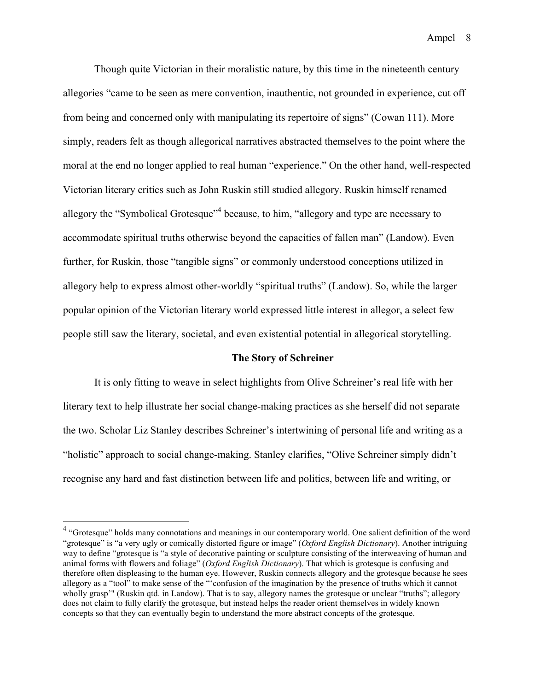Though quite Victorian in their moralistic nature, by this time in the nineteenth century allegories "came to be seen as mere convention, inauthentic, not grounded in experience, cut off from being and concerned only with manipulating its repertoire of signs" (Cowan 111). More simply, readers felt as though allegorical narratives abstracted themselves to the point where the moral at the end no longer applied to real human "experience." On the other hand, well-respected Victorian literary critics such as John Ruskin still studied allegory. Ruskin himself renamed allegory the "Symbolical Grotesque"<sup>4</sup> because, to him, "allegory and type are necessary to accommodate spiritual truths otherwise beyond the capacities of fallen man" (Landow). Even further, for Ruskin, those "tangible signs" or commonly understood conceptions utilized in allegory help to express almost other-worldly "spiritual truths" (Landow). So, while the larger popular opinion of the Victorian literary world expressed little interest in allegor, a select few people still saw the literary, societal, and even existential potential in allegorical storytelling.

#### **The Story of Schreiner**

It is only fitting to weave in select highlights from Olive Schreiner's real life with her literary text to help illustrate her social change-making practices as she herself did not separate the two. Scholar Liz Stanley describes Schreiner's intertwining of personal life and writing as a "holistic" approach to social change-making. Stanley clarifies, "Olive Schreiner simply didn't recognise any hard and fast distinction between life and politics, between life and writing, or

<sup>&</sup>lt;sup>4</sup> "Grotesque" holds many connotations and meanings in our contemporary world. One salient definition of the word "grotesque" is "a very ugly or comically distorted figure or image" (*Oxford English Dictionary*). Another intriguing way to define "grotesque is "a style of decorative painting or sculpture consisting of the interweaving of human and animal forms with flowers and foliage" (*Oxford English Dictionary*). That which is grotesque is confusing and therefore often displeasing to the human eye. However, Ruskin connects allegory and the grotesque because he sees allegory as a "tool" to make sense of the "'confusion of the imagination by the presence of truths which it cannot wholly grasp'" (Ruskin qtd. in Landow). That is to say, allegory names the grotesque or unclear "truths"; allegory does not claim to fully clarify the grotesque, but instead helps the reader orient themselves in widely known concepts so that they can eventually begin to understand the more abstract concepts of the grotesque.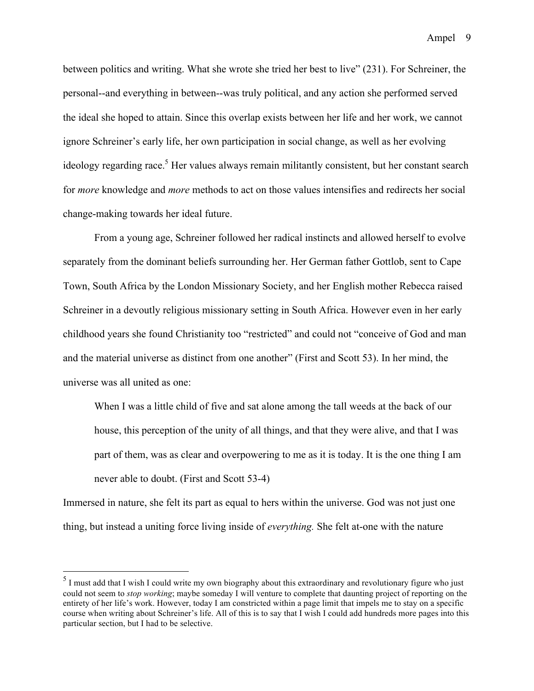between politics and writing. What she wrote she tried her best to live" (231). For Schreiner, the personal--and everything in between--was truly political, and any action she performed served the ideal she hoped to attain. Since this overlap exists between her life and her work, we cannot ignore Schreiner's early life, her own participation in social change, as well as her evolving ideology regarding race.<sup>5</sup> Her values always remain militantly consistent, but her constant search for *more* knowledge and *more* methods to act on those values intensifies and redirects her social change-making towards her ideal future.

From a young age, Schreiner followed her radical instincts and allowed herself to evolve separately from the dominant beliefs surrounding her. Her German father Gottlob, sent to Cape Town, South Africa by the London Missionary Society, and her English mother Rebecca raised Schreiner in a devoutly religious missionary setting in South Africa. However even in her early childhood years she found Christianity too "restricted" and could not "conceive of God and man and the material universe as distinct from one another" (First and Scott 53). In her mind, the universe was all united as one:

When I was a little child of five and sat alone among the tall weeds at the back of our house, this perception of the unity of all things, and that they were alive, and that I was part of them, was as clear and overpowering to me as it is today. It is the one thing I am never able to doubt. (First and Scott 53-4)

Immersed in nature, she felt its part as equal to hers within the universe. God was not just one thing, but instead a uniting force living inside of *everything.* She felt at-one with the nature

<sup>&</sup>lt;sup>5</sup> I must add that I wish I could write my own biography about this extraordinary and revolutionary figure who just could not seem to *stop working*; maybe someday I will venture to complete that daunting project of reporting on the entirety of her life's work. However, today I am constricted within a page limit that impels me to stay on a specific course when writing about Schreiner's life. All of this is to say that I wish I could add hundreds more pages into this particular section, but I had to be selective.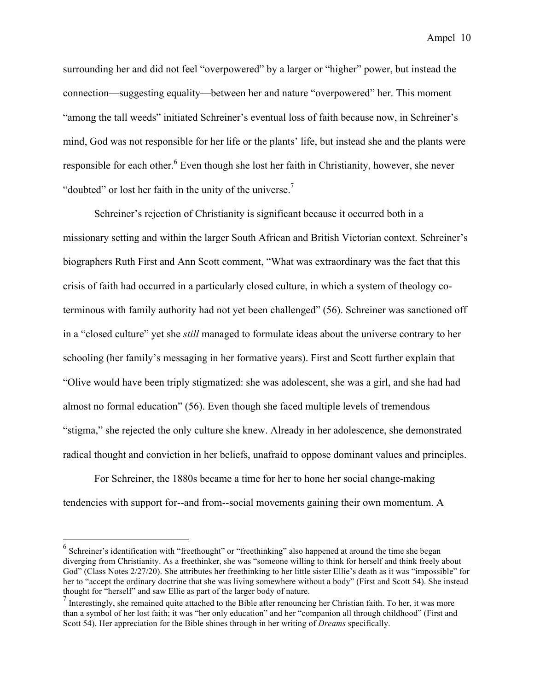surrounding her and did not feel "overpowered" by a larger or "higher" power, but instead the connection—suggesting equality—between her and nature "overpowered" her. This moment "among the tall weeds" initiated Schreiner's eventual loss of faith because now, in Schreiner's mind, God was not responsible for her life or the plants' life, but instead she and the plants were responsible for each other.<sup>6</sup> Even though she lost her faith in Christianity, however, she never "doubted" or lost her faith in the unity of the universe.<sup>7</sup>

Schreiner's rejection of Christianity is significant because it occurred both in a missionary setting and within the larger South African and British Victorian context. Schreiner's biographers Ruth First and Ann Scott comment, "What was extraordinary was the fact that this crisis of faith had occurred in a particularly closed culture, in which a system of theology coterminous with family authority had not yet been challenged" (56). Schreiner was sanctioned off in a "closed culture" yet she *still* managed to formulate ideas about the universe contrary to her schooling (her family's messaging in her formative years). First and Scott further explain that "Olive would have been triply stigmatized: she was adolescent, she was a girl, and she had had almost no formal education" (56). Even though she faced multiple levels of tremendous "stigma," she rejected the only culture she knew. Already in her adolescence, she demonstrated radical thought and conviction in her beliefs, unafraid to oppose dominant values and principles.

For Schreiner, the 1880s became a time for her to hone her social change-making tendencies with support for--and from--social movements gaining their own momentum. A

<sup>&</sup>lt;sup>6</sup> Schreiner's identification with "freethought" or "freethinking" also happened at around the time she began diverging from Christianity. As a freethinker, she was "someone willing to think for herself and think freely about God" (Class Notes 2/27/20). She attributes her freethinking to her little sister Ellie's death as it was "impossible" for her to "accept the ordinary doctrine that she was living somewhere without a body" (First and Scott 54). She instead thought for "herself" and saw Ellie as part of the larger body of nature.

 $<sup>7</sup>$  Interestingly, she remained quite attached to the Bible after renouncing her Christian faith. To her, it was more</sup> than a symbol of her lost faith; it was "her only education" and her "companion all through childhood" (First and Scott 54). Her appreciation for the Bible shines through in her writing of *Dreams* specifically.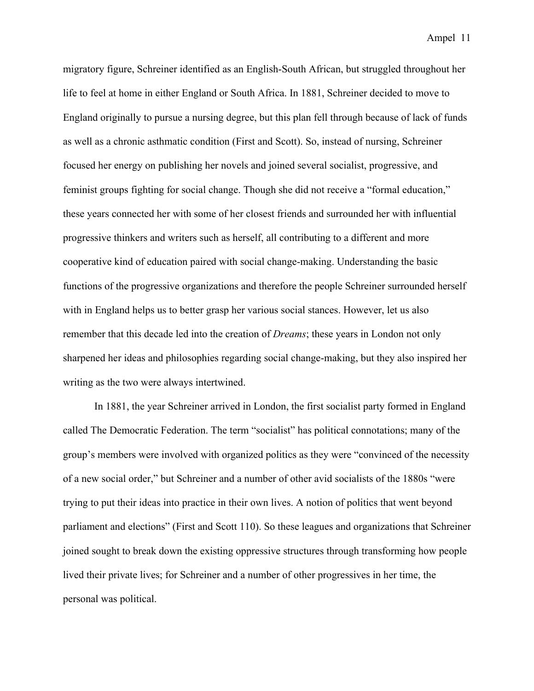migratory figure, Schreiner identified as an English-South African, but struggled throughout her life to feel at home in either England or South Africa. In 1881, Schreiner decided to move to England originally to pursue a nursing degree, but this plan fell through because of lack of funds as well as a chronic asthmatic condition (First and Scott). So, instead of nursing, Schreiner focused her energy on publishing her novels and joined several socialist, progressive, and feminist groups fighting for social change. Though she did not receive a "formal education," these years connected her with some of her closest friends and surrounded her with influential progressive thinkers and writers such as herself, all contributing to a different and more cooperative kind of education paired with social change-making. Understanding the basic functions of the progressive organizations and therefore the people Schreiner surrounded herself with in England helps us to better grasp her various social stances. However, let us also remember that this decade led into the creation of *Dreams*; these years in London not only sharpened her ideas and philosophies regarding social change-making, but they also inspired her writing as the two were always intertwined.

In 1881, the year Schreiner arrived in London, the first socialist party formed in England called The Democratic Federation. The term "socialist" has political connotations; many of the group's members were involved with organized politics as they were "convinced of the necessity of a new social order," but Schreiner and a number of other avid socialists of the 1880s "were trying to put their ideas into practice in their own lives. A notion of politics that went beyond parliament and elections" (First and Scott 110). So these leagues and organizations that Schreiner joined sought to break down the existing oppressive structures through transforming how people lived their private lives; for Schreiner and a number of other progressives in her time, the personal was political.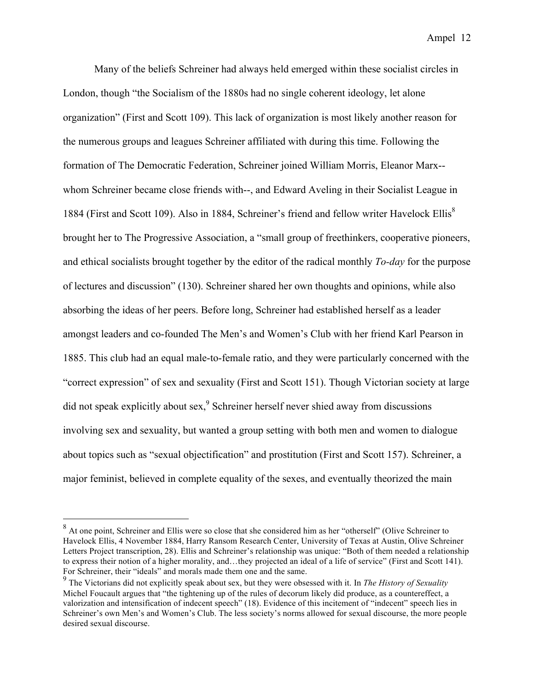Many of the beliefs Schreiner had always held emerged within these socialist circles in London, though "the Socialism of the 1880s had no single coherent ideology, let alone organization" (First and Scott 109). This lack of organization is most likely another reason for the numerous groups and leagues Schreiner affiliated with during this time. Following the formation of The Democratic Federation, Schreiner joined William Morris, Eleanor Marx- whom Schreiner became close friends with--, and Edward Aveling in their Socialist League in 1884 (First and Scott 109). Also in 1884, Schreiner's friend and fellow writer Havelock Ellis<sup>8</sup> brought her to The Progressive Association, a "small group of freethinkers, cooperative pioneers, and ethical socialists brought together by the editor of the radical monthly *To-day* for the purpose of lectures and discussion" (130). Schreiner shared her own thoughts and opinions, while also absorbing the ideas of her peers. Before long, Schreiner had established herself as a leader amongst leaders and co-founded The Men's and Women's Club with her friend Karl Pearson in 1885. This club had an equal male-to-female ratio, and they were particularly concerned with the "correct expression" of sex and sexuality (First and Scott 151). Though Victorian society at large did not speak explicitly about sex, <sup>9</sup> Schreiner herself never shied away from discussions involving sex and sexuality, but wanted a group setting with both men and women to dialogue about topics such as "sexual objectification" and prostitution (First and Scott 157). Schreiner, a major feminist, believed in complete equality of the sexes, and eventually theorized the main

 <sup>8</sup> At one point, Schreiner and Ellis were so close that she considered him as her "otherself" (Olive Schreiner to Havelock Ellis, 4 November 1884, Harry Ransom Research Center, University of Texas at Austin, Olive Schreiner Letters Project transcription, 28). Ellis and Schreiner's relationship was unique: "Both of them needed a relationship to express their notion of a higher morality, and…they projected an ideal of a life of service" (First and Scott 141). For Schreiner, their "ideals" and morals made them one and the same.

<sup>9</sup> The Victorians did not explicitly speak about sex, but they were obsessed with it. In *The History of Sexuality* Michel Foucault argues that "the tightening up of the rules of decorum likely did produce, as a countereffect, a valorization and intensification of indecent speech" (18). Evidence of this incitement of "indecent" speech lies in Schreiner's own Men's and Women's Club. The less society's norms allowed for sexual discourse, the more people desired sexual discourse.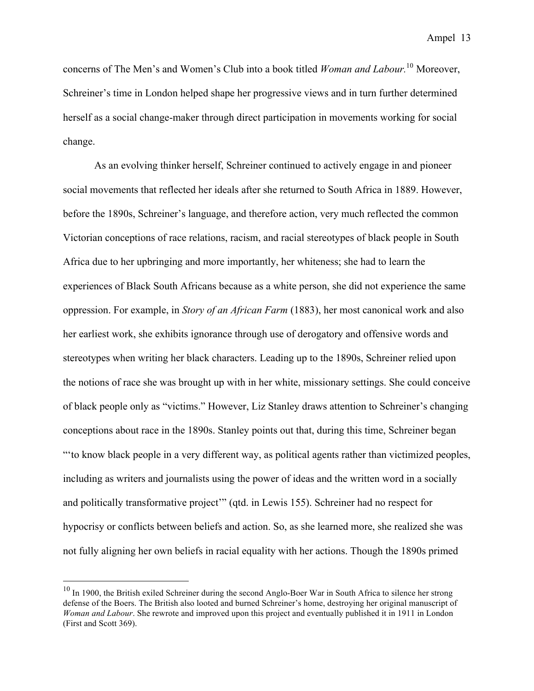concerns of The Men's and Women's Club into a book titled *Woman and Labour.*<sup>10</sup> Moreover, Schreiner's time in London helped shape her progressive views and in turn further determined herself as a social change-maker through direct participation in movements working for social change.

As an evolving thinker herself, Schreiner continued to actively engage in and pioneer social movements that reflected her ideals after she returned to South Africa in 1889. However, before the 1890s, Schreiner's language, and therefore action, very much reflected the common Victorian conceptions of race relations, racism, and racial stereotypes of black people in South Africa due to her upbringing and more importantly, her whiteness; she had to learn the experiences of Black South Africans because as a white person, she did not experience the same oppression. For example, in *Story of an African Farm* (1883), her most canonical work and also her earliest work, she exhibits ignorance through use of derogatory and offensive words and stereotypes when writing her black characters. Leading up to the 1890s, Schreiner relied upon the notions of race she was brought up with in her white, missionary settings. She could conceive of black people only as "victims." However, Liz Stanley draws attention to Schreiner's changing conceptions about race in the 1890s. Stanley points out that, during this time, Schreiner began "'to know black people in a very different way, as political agents rather than victimized peoples, including as writers and journalists using the power of ideas and the written word in a socially and politically transformative project'" (qtd. in Lewis 155). Schreiner had no respect for hypocrisy or conflicts between beliefs and action. So, as she learned more, she realized she was not fully aligning her own beliefs in racial equality with her actions. Though the 1890s primed

<sup>&</sup>lt;sup>10</sup> In 1900, the British exiled Schreiner during the second Anglo-Boer War in South Africa to silence her strong defense of the Boers. The British also looted and burned Schreiner's home, destroying her original manuscript of *Woman and Labour*. She rewrote and improved upon this project and eventually published it in 1911 in London (First and Scott 369).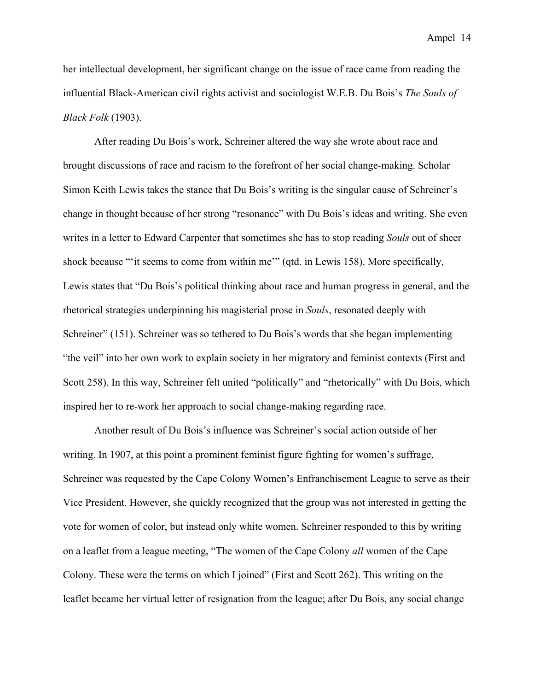her intellectual development, her significant change on the issue of race came from reading the influential Black-American civil rights activist and sociologist W.E.B. Du Bois's *The Souls of Black Folk* (1903).

After reading Du Bois's work, Schreiner altered the way she wrote about race and brought discussions of race and racism to the forefront of her social change-making. Scholar Simon Keith Lewis takes the stance that Du Bois's writing is the singular cause of Schreiner's change in thought because of her strong "resonance" with Du Bois's ideas and writing. She even writes in a letter to Edward Carpenter that sometimes she has to stop reading *Souls* out of sheer shock because "'it seems to come from within me'" (qtd. in Lewis 158). More specifically, Lewis states that "Du Bois's political thinking about race and human progress in general, and the rhetorical strategies underpinning his magisterial prose in *Souls*, resonated deeply with Schreiner" (151). Schreiner was so tethered to Du Bois's words that she began implementing "the veil" into her own work to explain society in her migratory and feminist contexts (First and Scott 258). In this way, Schreiner felt united "politically" and "rhetorically" with Du Bois, which inspired her to re-work her approach to social change-making regarding race.

Another result of Du Bois's influence was Schreiner's social action outside of her writing. In 1907, at this point a prominent feminist figure fighting for women's suffrage, Schreiner was requested by the Cape Colony Women's Enfranchisement League to serve as their Vice President. However, she quickly recognized that the group was not interested in getting the vote for women of color, but instead only white women. Schreiner responded to this by writing on a leaflet from a league meeting, "The women of the Cape Colony *all* women of the Cape Colony. These were the terms on which I joined" (First and Scott 262). This writing on the leaflet became her virtual letter of resignation from the league; after Du Bois, any social change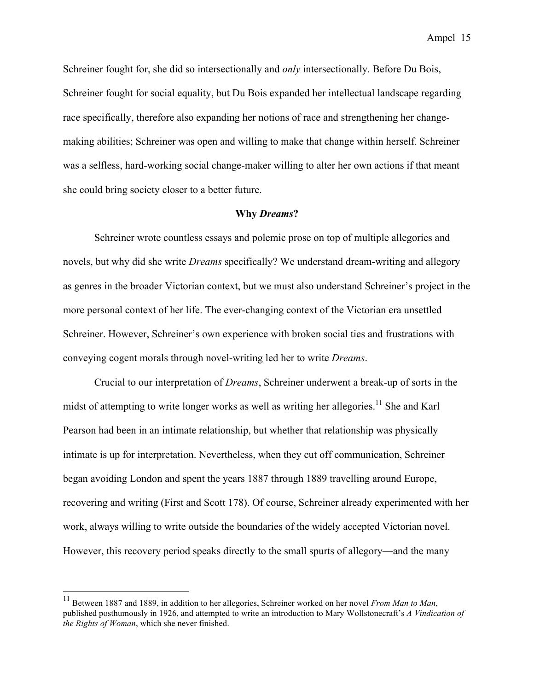Schreiner fought for, she did so intersectionally and *only* intersectionally. Before Du Bois, Schreiner fought for social equality, but Du Bois expanded her intellectual landscape regarding race specifically, therefore also expanding her notions of race and strengthening her changemaking abilities; Schreiner was open and willing to make that change within herself. Schreiner was a selfless, hard-working social change-maker willing to alter her own actions if that meant she could bring society closer to a better future.

#### **Why** *Dreams***?**

Schreiner wrote countless essays and polemic prose on top of multiple allegories and novels, but why did she write *Dreams* specifically? We understand dream-writing and allegory as genres in the broader Victorian context, but we must also understand Schreiner's project in the more personal context of her life. The ever-changing context of the Victorian era unsettled Schreiner. However, Schreiner's own experience with broken social ties and frustrations with conveying cogent morals through novel-writing led her to write *Dreams*.

Crucial to our interpretation of *Dreams*, Schreiner underwent a break-up of sorts in the midst of attempting to write longer works as well as writing her allegories.<sup>11</sup> She and Karl Pearson had been in an intimate relationship, but whether that relationship was physically intimate is up for interpretation. Nevertheless, when they cut off communication, Schreiner began avoiding London and spent the years 1887 through 1889 travelling around Europe, recovering and writing (First and Scott 178). Of course, Schreiner already experimented with her work, always willing to write outside the boundaries of the widely accepted Victorian novel. However, this recovery period speaks directly to the small spurts of allegory—and the many

<sup>&</sup>lt;sup>11</sup> Between 1887 and 1889, in addition to her allegories, Schreiner worked on her novel *From Man to Man*, published posthumously in 1926, and attempted to write an introduction to Mary Wollstonecraft's *A Vindication of the Rights of Woman*, which she never finished.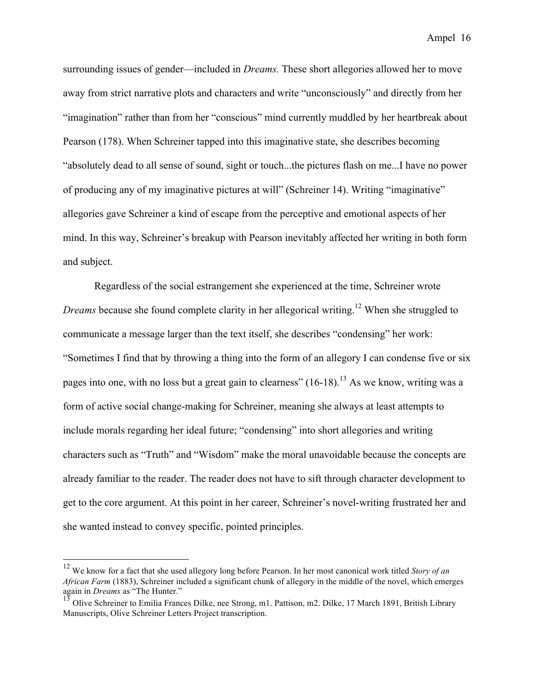surrounding issues of gender—included in *Dreams.* These short allegories allowed her to move away from strict narrative plots and characters and write "unconsciously" and directly from her "imagination" rather than from her "conscious" mind currently muddled by her heartbreak about Pearson (178). When Schreiner tapped into this imaginative state, she describes becoming "absolutely dead to all sense of sound, sight or touch...the pictures flash on me...I have no power of producing any of my imaginative pictures at will" (Schreiner 14). Writing "imaginative" allegories gave Schreiner a kind of escape from the perceptive and emotional aspects of her mind. In this way, Schreiner's breakup with Pearson inevitably affected her writing in both form and subject.

Regardless of the social estrangement she experienced at the time, Schreiner wrote *Dreams* because she found complete clarity in her allegorical writing.<sup>12</sup> When she struggled to communicate a message larger than the text itself, she describes "condensing" her work: "Sometimes I find that by throwing a thing into the form of an allegory I can condense five or six pages into one, with no loss but a great gain to clearness"  $(16-18)$ .<sup>13</sup> As we know, writing was a form of active social change-making for Schreiner, meaning she always at least attempts to include morals regarding her ideal future; "condensing" into short allegories and writing characters such as "Truth" and "Wisdom" make the moral unavoidable because the concepts are already familiar to the reader. The reader does not have to sift through character development to get to the core argument. At this point in her career, Schreiner's novel-writing frustrated her and she wanted instead to convey specific, pointed principles.

 <sup>12</sup> We know for a fact that she used allegory long before Pearson. In her most canonical work titled *Story of an African Farm* (1883), Schreiner included a significant chunk of allegory in the middle of the novel, which emerges again in *Dreams* as "The Hunter."

<sup>13&</sup>lt;br><sup>13</sup> Olive Schreiner to Emilia Frances Dilke, nee Strong, m1. Pattison, m2. Dilke, 17 March 1891, British Library Manuscripts, Olive Schreiner Letters Project transcription.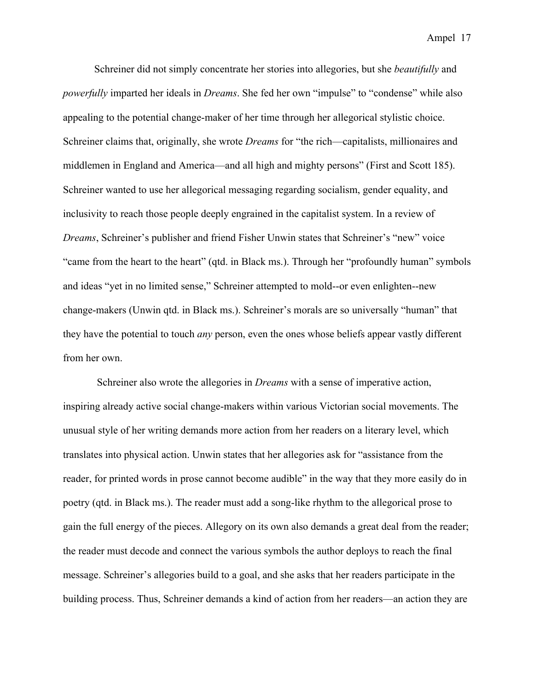Schreiner did not simply concentrate her stories into allegories, but she *beautifully* and *powerfully* imparted her ideals in *Dreams*. She fed her own "impulse" to "condense" while also appealing to the potential change-maker of her time through her allegorical stylistic choice. Schreiner claims that, originally, she wrote *Dreams* for "the rich—capitalists, millionaires and middlemen in England and America—and all high and mighty persons" (First and Scott 185). Schreiner wanted to use her allegorical messaging regarding socialism, gender equality, and inclusivity to reach those people deeply engrained in the capitalist system. In a review of *Dreams*, Schreiner's publisher and friend Fisher Unwin states that Schreiner's "new" voice "came from the heart to the heart" (qtd. in Black ms.). Through her "profoundly human" symbols and ideas "yet in no limited sense," Schreiner attempted to mold--or even enlighten--new change-makers (Unwin qtd. in Black ms.). Schreiner's morals are so universally "human" that they have the potential to touch *any* person, even the ones whose beliefs appear vastly different from her own.

Schreiner also wrote the allegories in *Dreams* with a sense of imperative action, inspiring already active social change-makers within various Victorian social movements. The unusual style of her writing demands more action from her readers on a literary level, which translates into physical action. Unwin states that her allegories ask for "assistance from the reader, for printed words in prose cannot become audible" in the way that they more easily do in poetry (qtd. in Black ms.). The reader must add a song-like rhythm to the allegorical prose to gain the full energy of the pieces. Allegory on its own also demands a great deal from the reader; the reader must decode and connect the various symbols the author deploys to reach the final message. Schreiner's allegories build to a goal, and she asks that her readers participate in the building process. Thus, Schreiner demands a kind of action from her readers—an action they are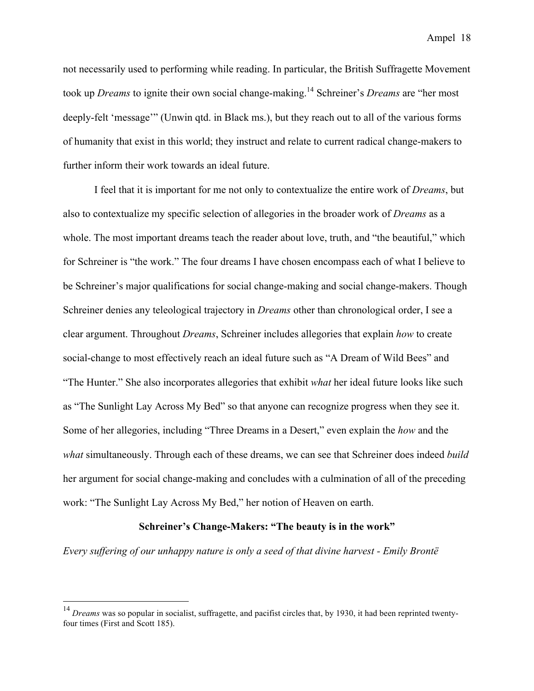not necessarily used to performing while reading. In particular, the British Suffragette Movement took up *Dreams* to ignite their own social change-making.14 Schreiner's *Dreams* are "her most deeply-felt 'message'" (Unwin qtd. in Black ms.), but they reach out to all of the various forms of humanity that exist in this world; they instruct and relate to current radical change-makers to further inform their work towards an ideal future.

I feel that it is important for me not only to contextualize the entire work of *Dreams*, but also to contextualize my specific selection of allegories in the broader work of *Dreams* as a whole. The most important dreams teach the reader about love, truth, and "the beautiful," which for Schreiner is "the work." The four dreams I have chosen encompass each of what I believe to be Schreiner's major qualifications for social change-making and social change-makers. Though Schreiner denies any teleological trajectory in *Dreams* other than chronological order, I see a clear argument. Throughout *Dreams*, Schreiner includes allegories that explain *how* to create social-change to most effectively reach an ideal future such as "A Dream of Wild Bees" and "The Hunter." She also incorporates allegories that exhibit *what* her ideal future looks like such as "The Sunlight Lay Across My Bed" so that anyone can recognize progress when they see it. Some of her allegories, including "Three Dreams in a Desert," even explain the *how* and the *what* simultaneously. Through each of these dreams, we can see that Schreiner does indeed *build* her argument for social change-making and concludes with a culmination of all of the preceding work: "The Sunlight Lay Across My Bed," her notion of Heaven on earth.

#### **Schreiner's Change-Makers: "The beauty is in the work"**

*Every suffering of our unhappy nature is only a seed of that divine harvest - Emily Brontë*

<sup>&</sup>lt;sup>14</sup> *Dreams* was so popular in socialist, suffragette, and pacifist circles that, by 1930, it had been reprinted twentyfour times (First and Scott 185).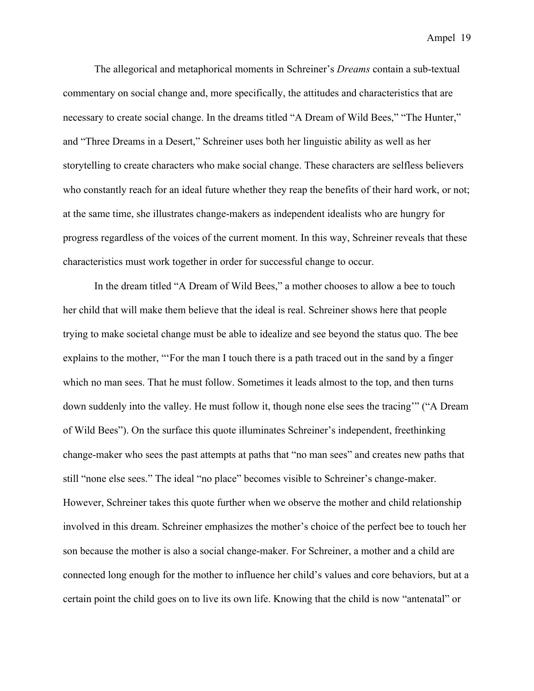The allegorical and metaphorical moments in Schreiner's *Dreams* contain a sub-textual commentary on social change and, more specifically, the attitudes and characteristics that are necessary to create social change. In the dreams titled "A Dream of Wild Bees," "The Hunter," and "Three Dreams in a Desert," Schreiner uses both her linguistic ability as well as her storytelling to create characters who make social change. These characters are selfless believers who constantly reach for an ideal future whether they reap the benefits of their hard work, or not; at the same time, she illustrates change-makers as independent idealists who are hungry for progress regardless of the voices of the current moment. In this way, Schreiner reveals that these characteristics must work together in order for successful change to occur.

In the dream titled "A Dream of Wild Bees," a mother chooses to allow a bee to touch her child that will make them believe that the ideal is real. Schreiner shows here that people trying to make societal change must be able to idealize and see beyond the status quo. The bee explains to the mother, "'For the man I touch there is a path traced out in the sand by a finger which no man sees. That he must follow. Sometimes it leads almost to the top, and then turns down suddenly into the valley. He must follow it, though none else sees the tracing'" ("A Dream of Wild Bees"). On the surface this quote illuminates Schreiner's independent, freethinking change-maker who sees the past attempts at paths that "no man sees" and creates new paths that still "none else sees." The ideal "no place" becomes visible to Schreiner's change-maker. However, Schreiner takes this quote further when we observe the mother and child relationship involved in this dream. Schreiner emphasizes the mother's choice of the perfect bee to touch her son because the mother is also a social change-maker. For Schreiner, a mother and a child are connected long enough for the mother to influence her child's values and core behaviors, but at a certain point the child goes on to live its own life. Knowing that the child is now "antenatal" or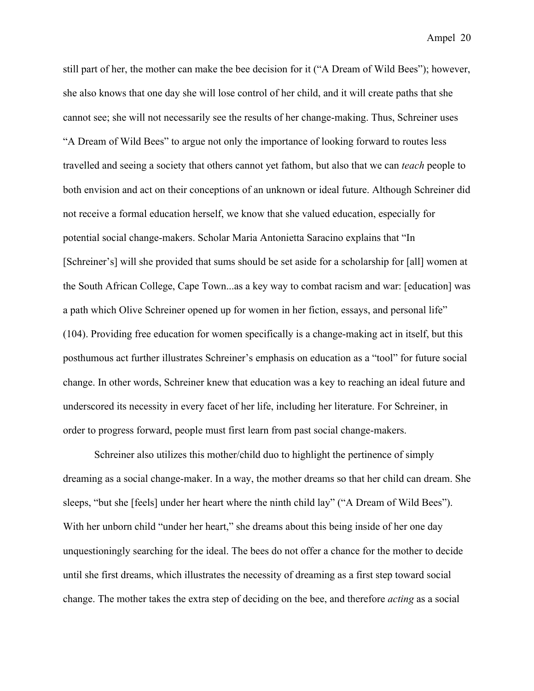still part of her, the mother can make the bee decision for it ("A Dream of Wild Bees"); however, she also knows that one day she will lose control of her child, and it will create paths that she cannot see; she will not necessarily see the results of her change-making. Thus, Schreiner uses "A Dream of Wild Bees" to argue not only the importance of looking forward to routes less travelled and seeing a society that others cannot yet fathom, but also that we can *teach* people to both envision and act on their conceptions of an unknown or ideal future. Although Schreiner did not receive a formal education herself, we know that she valued education, especially for potential social change-makers. Scholar Maria Antonietta Saracino explains that "In [Schreiner's] will she provided that sums should be set aside for a scholarship for [all] women at the South African College, Cape Town...as a key way to combat racism and war: [education] was a path which Olive Schreiner opened up for women in her fiction, essays, and personal life" (104). Providing free education for women specifically is a change-making act in itself, but this posthumous act further illustrates Schreiner's emphasis on education as a "tool" for future social change. In other words, Schreiner knew that education was a key to reaching an ideal future and underscored its necessity in every facet of her life, including her literature. For Schreiner, in order to progress forward, people must first learn from past social change-makers.

Schreiner also utilizes this mother/child duo to highlight the pertinence of simply dreaming as a social change-maker. In a way, the mother dreams so that her child can dream. She sleeps, "but she [feels] under her heart where the ninth child lay" ("A Dream of Wild Bees"). With her unborn child "under her heart," she dreams about this being inside of her one day unquestioningly searching for the ideal. The bees do not offer a chance for the mother to decide until she first dreams, which illustrates the necessity of dreaming as a first step toward social change. The mother takes the extra step of deciding on the bee, and therefore *acting* as a social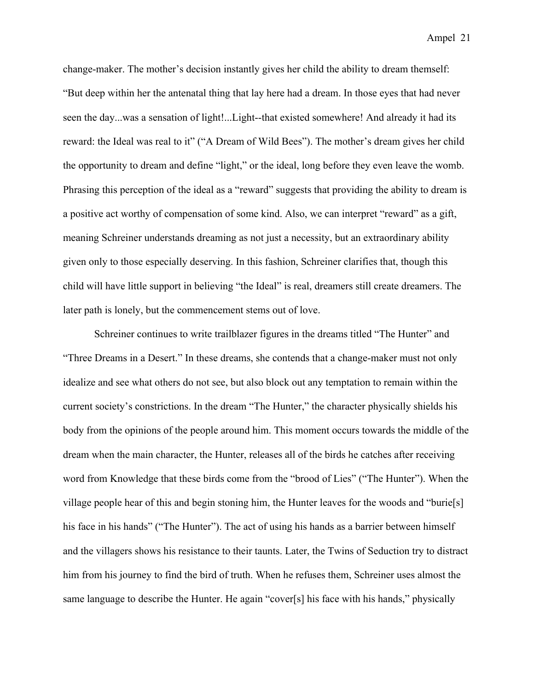change-maker. The mother's decision instantly gives her child the ability to dream themself: "But deep within her the antenatal thing that lay here had a dream. In those eyes that had never seen the day...was a sensation of light!...Light--that existed somewhere! And already it had its reward: the Ideal was real to it" ("A Dream of Wild Bees"). The mother's dream gives her child the opportunity to dream and define "light," or the ideal, long before they even leave the womb. Phrasing this perception of the ideal as a "reward" suggests that providing the ability to dream is a positive act worthy of compensation of some kind. Also, we can interpret "reward" as a gift, meaning Schreiner understands dreaming as not just a necessity, but an extraordinary ability given only to those especially deserving. In this fashion, Schreiner clarifies that, though this child will have little support in believing "the Ideal" is real, dreamers still create dreamers. The later path is lonely, but the commencement stems out of love.

Schreiner continues to write trailblazer figures in the dreams titled "The Hunter" and "Three Dreams in a Desert." In these dreams, she contends that a change-maker must not only idealize and see what others do not see, but also block out any temptation to remain within the current society's constrictions. In the dream "The Hunter," the character physically shields his body from the opinions of the people around him. This moment occurs towards the middle of the dream when the main character, the Hunter, releases all of the birds he catches after receiving word from Knowledge that these birds come from the "brood of Lies" ("The Hunter"). When the village people hear of this and begin stoning him, the Hunter leaves for the woods and "burie[s] his face in his hands" ("The Hunter"). The act of using his hands as a barrier between himself and the villagers shows his resistance to their taunts. Later, the Twins of Seduction try to distract him from his journey to find the bird of truth. When he refuses them, Schreiner uses almost the same language to describe the Hunter. He again "cover[s] his face with his hands," physically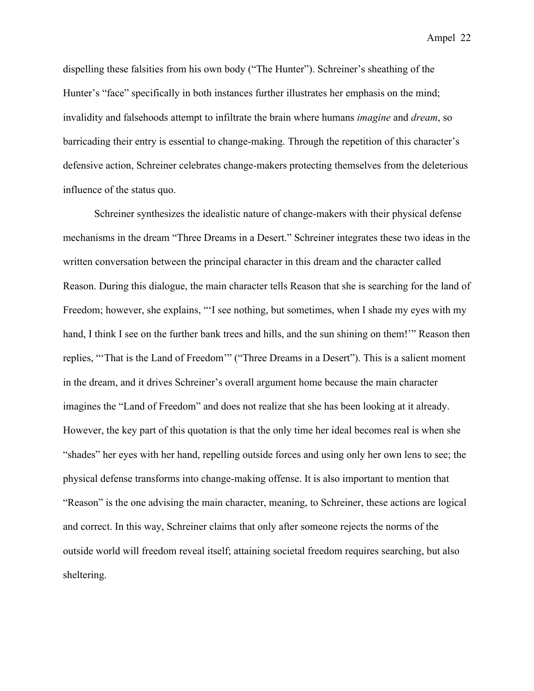dispelling these falsities from his own body ("The Hunter"). Schreiner's sheathing of the Hunter's "face" specifically in both instances further illustrates her emphasis on the mind; invalidity and falsehoods attempt to infiltrate the brain where humans *imagine* and *dream*, so barricading their entry is essential to change-making. Through the repetition of this character's defensive action, Schreiner celebrates change-makers protecting themselves from the deleterious influence of the status quo.

Schreiner synthesizes the idealistic nature of change-makers with their physical defense mechanisms in the dream "Three Dreams in a Desert." Schreiner integrates these two ideas in the written conversation between the principal character in this dream and the character called Reason. During this dialogue, the main character tells Reason that she is searching for the land of Freedom; however, she explains, "I see nothing, but sometimes, when I shade my eyes with my hand, I think I see on the further bank trees and hills, and the sun shining on them!'" Reason then replies, "'That is the Land of Freedom'" ("Three Dreams in a Desert"). This is a salient moment in the dream, and it drives Schreiner's overall argument home because the main character imagines the "Land of Freedom" and does not realize that she has been looking at it already. However, the key part of this quotation is that the only time her ideal becomes real is when she "shades" her eyes with her hand, repelling outside forces and using only her own lens to see; the physical defense transforms into change-making offense. It is also important to mention that "Reason" is the one advising the main character, meaning, to Schreiner, these actions are logical and correct. In this way, Schreiner claims that only after someone rejects the norms of the outside world will freedom reveal itself; attaining societal freedom requires searching, but also sheltering.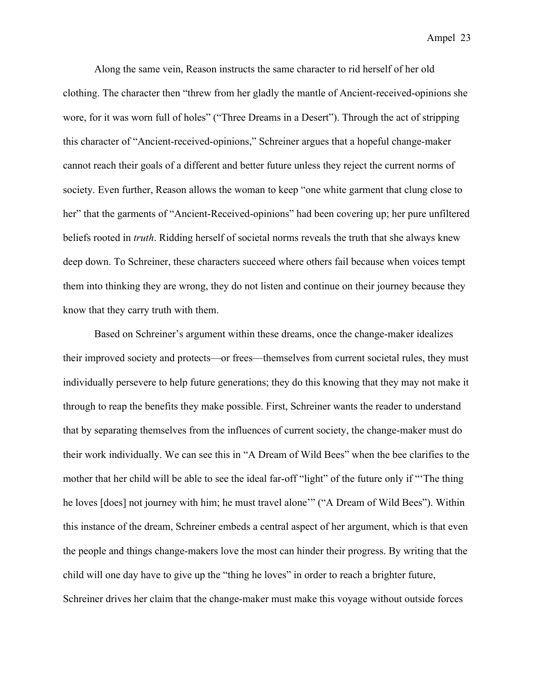Along the same vein, Reason instructs the same character to rid herself of her old clothing. The character then "threw from her gladly the mantle of Ancient-received-opinions she wore, for it was worn full of holes" ("Three Dreams in a Desert"). Through the act of stripping this character of "Ancient-received-opinions," Schreiner argues that a hopeful change-maker cannot reach their goals of a different and better future unless they reject the current norms of society. Even further, Reason allows the woman to keep "one white garment that clung close to her" that the garments of "Ancient-Received-opinions" had been covering up; her pure unfiltered beliefs rooted in *truth*. Ridding herself of societal norms reveals the truth that she always knew deep down. To Schreiner, these characters succeed where others fail because when voices tempt them into thinking they are wrong, they do not listen and continue on their journey because they know that they carry truth with them.

 Based on Schreiner's argument within these dreams, once the change-maker idealizes their improved society and protects—or frees—themselves from current societal rules, they must individually persevere to help future generations; they do this knowing that they may not make it through to reap the benefits they make possible. First, Schreiner wants the reader to understand that by separating themselves from the influences of current society, the change-maker must do their work individually. We can see this in "A Dream of Wild Bees" when the bee clarifies to the mother that her child will be able to see the ideal far-off "light" of the future only if "'The thing he loves [does] not journey with him; he must travel alone'" ("A Dream of Wild Bees"). Within this instance of the dream, Schreiner embeds a central aspect of her argument, which is that even the people and things change-makers love the most can hinder their progress. By writing that the child will one day have to give up the "thing he loves" in order to reach a brighter future, Schreiner drives her claim that the change-maker must make this voyage without outside forces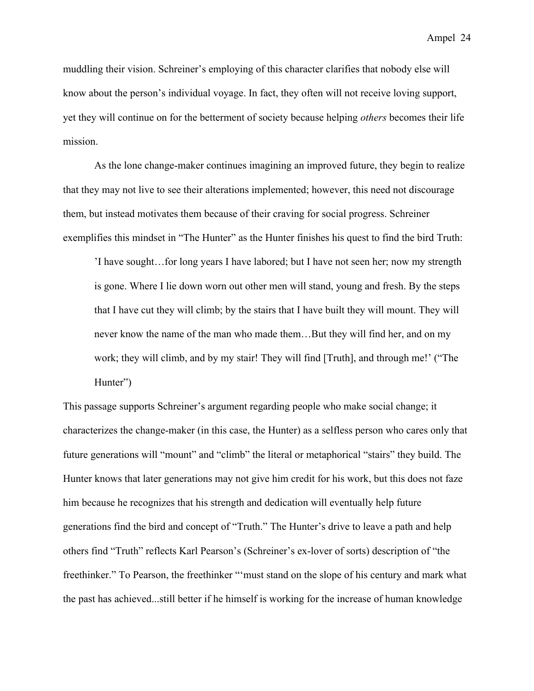muddling their vision. Schreiner's employing of this character clarifies that nobody else will know about the person's individual voyage. In fact, they often will not receive loving support, yet they will continue on for the betterment of society because helping *others* becomes their life mission.

 As the lone change-maker continues imagining an improved future, they begin to realize that they may not live to see their alterations implemented; however, this need not discourage them, but instead motivates them because of their craving for social progress. Schreiner exemplifies this mindset in "The Hunter" as the Hunter finishes his quest to find the bird Truth:

'I have sought…for long years I have labored; but I have not seen her; now my strength is gone. Where I lie down worn out other men will stand, young and fresh. By the steps that I have cut they will climb; by the stairs that I have built they will mount. They will never know the name of the man who made them…But they will find her, and on my work; they will climb, and by my stair! They will find [Truth], and through me!' ("The Hunter")

This passage supports Schreiner's argument regarding people who make social change; it characterizes the change-maker (in this case, the Hunter) as a selfless person who cares only that future generations will "mount" and "climb" the literal or metaphorical "stairs" they build. The Hunter knows that later generations may not give him credit for his work, but this does not faze him because he recognizes that his strength and dedication will eventually help future generations find the bird and concept of "Truth." The Hunter's drive to leave a path and help others find "Truth" reflects Karl Pearson's (Schreiner's ex-lover of sorts) description of "the freethinker." To Pearson, the freethinker "'must stand on the slope of his century and mark what the past has achieved...still better if he himself is working for the increase of human knowledge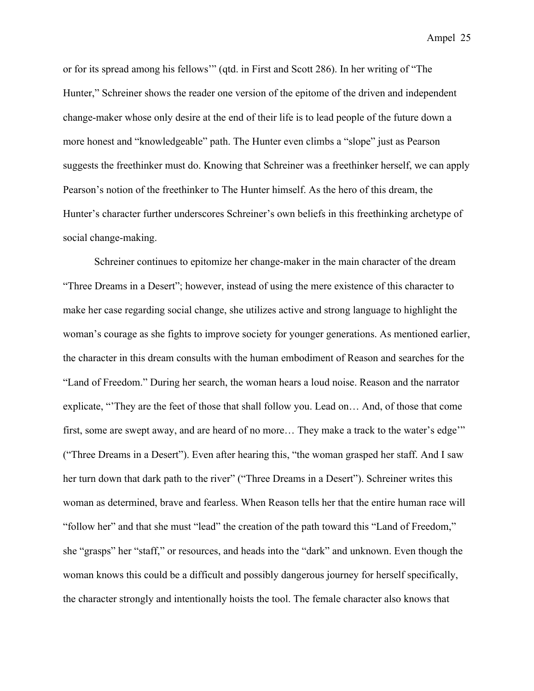or for its spread among his fellows'" (qtd. in First and Scott 286). In her writing of "The Hunter," Schreiner shows the reader one version of the epitome of the driven and independent change-maker whose only desire at the end of their life is to lead people of the future down a more honest and "knowledgeable" path. The Hunter even climbs a "slope" just as Pearson suggests the freethinker must do. Knowing that Schreiner was a freethinker herself, we can apply Pearson's notion of the freethinker to The Hunter himself. As the hero of this dream, the Hunter's character further underscores Schreiner's own beliefs in this freethinking archetype of social change-making.

Schreiner continues to epitomize her change-maker in the main character of the dream "Three Dreams in a Desert"; however, instead of using the mere existence of this character to make her case regarding social change, she utilizes active and strong language to highlight the woman's courage as she fights to improve society for younger generations. As mentioned earlier, the character in this dream consults with the human embodiment of Reason and searches for the "Land of Freedom." During her search, the woman hears a loud noise. Reason and the narrator explicate, "'They are the feet of those that shall follow you. Lead on… And, of those that come first, some are swept away, and are heard of no more… They make a track to the water's edge'" ("Three Dreams in a Desert"). Even after hearing this, "the woman grasped her staff. And I saw her turn down that dark path to the river" ("Three Dreams in a Desert"). Schreiner writes this woman as determined, brave and fearless. When Reason tells her that the entire human race will "follow her" and that she must "lead" the creation of the path toward this "Land of Freedom," she "grasps" her "staff," or resources, and heads into the "dark" and unknown. Even though the woman knows this could be a difficult and possibly dangerous journey for herself specifically, the character strongly and intentionally hoists the tool. The female character also knows that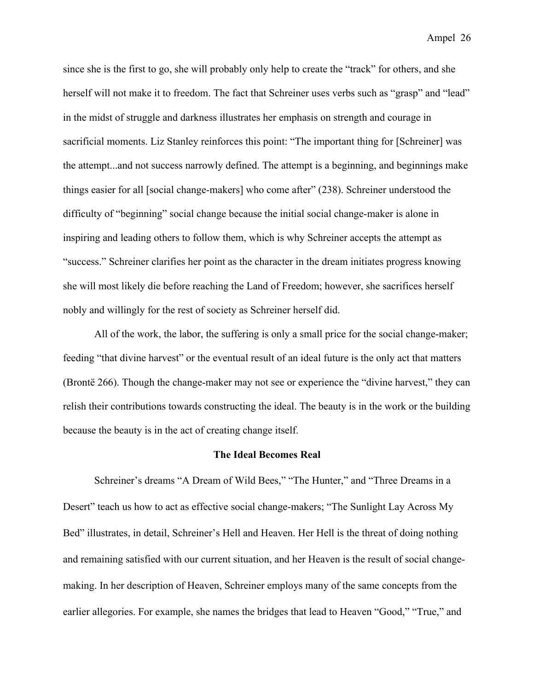since she is the first to go, she will probably only help to create the "track" for others, and she herself will not make it to freedom. The fact that Schreiner uses verbs such as "grasp" and "lead" in the midst of struggle and darkness illustrates her emphasis on strength and courage in sacrificial moments. Liz Stanley reinforces this point: "The important thing for [Schreiner] was the attempt...and not success narrowly defined. The attempt is a beginning, and beginnings make things easier for all [social change-makers] who come after" (238). Schreiner understood the difficulty of "beginning" social change because the initial social change-maker is alone in inspiring and leading others to follow them, which is why Schreiner accepts the attempt as "success." Schreiner clarifies her point as the character in the dream initiates progress knowing she will most likely die before reaching the Land of Freedom; however, she sacrifices herself nobly and willingly for the rest of society as Schreiner herself did.

All of the work, the labor, the suffering is only a small price for the social change-maker; feeding "that divine harvest" or the eventual result of an ideal future is the only act that matters (Brontë 266). Though the change-maker may not see or experience the "divine harvest," they can relish their contributions towards constructing the ideal. The beauty is in the work or the building because the beauty is in the act of creating change itself.

#### **The Ideal Becomes Real**

Schreiner's dreams "A Dream of Wild Bees," "The Hunter," and "Three Dreams in a Desert" teach us how to act as effective social change-makers; "The Sunlight Lay Across My Bed" illustrates, in detail, Schreiner's Hell and Heaven. Her Hell is the threat of doing nothing and remaining satisfied with our current situation, and her Heaven is the result of social changemaking. In her description of Heaven, Schreiner employs many of the same concepts from the earlier allegories. For example, she names the bridges that lead to Heaven "Good," "True," and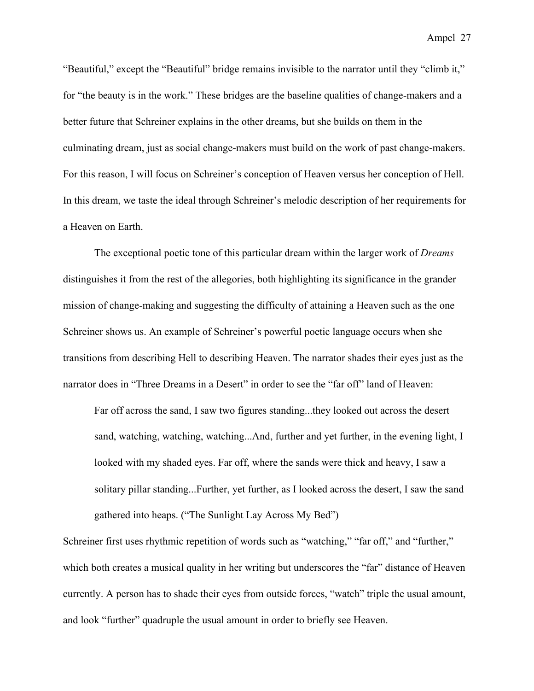"Beautiful," except the "Beautiful" bridge remains invisible to the narrator until they "climb it," for "the beauty is in the work." These bridges are the baseline qualities of change-makers and a better future that Schreiner explains in the other dreams, but she builds on them in the culminating dream, just as social change-makers must build on the work of past change-makers. For this reason, I will focus on Schreiner's conception of Heaven versus her conception of Hell. In this dream, we taste the ideal through Schreiner's melodic description of her requirements for a Heaven on Earth.

The exceptional poetic tone of this particular dream within the larger work of *Dreams*  distinguishes it from the rest of the allegories, both highlighting its significance in the grander mission of change-making and suggesting the difficulty of attaining a Heaven such as the one Schreiner shows us. An example of Schreiner's powerful poetic language occurs when she transitions from describing Hell to describing Heaven. The narrator shades their eyes just as the narrator does in "Three Dreams in a Desert" in order to see the "far off" land of Heaven:

Far off across the sand, I saw two figures standing...they looked out across the desert sand, watching, watching, watching...And, further and yet further, in the evening light, I looked with my shaded eyes. Far off, where the sands were thick and heavy, I saw a solitary pillar standing...Further, yet further, as I looked across the desert, I saw the sand gathered into heaps. ("The Sunlight Lay Across My Bed")

Schreiner first uses rhythmic repetition of words such as "watching," "far off," and "further," which both creates a musical quality in her writing but underscores the "far" distance of Heaven currently. A person has to shade their eyes from outside forces, "watch" triple the usual amount, and look "further" quadruple the usual amount in order to briefly see Heaven.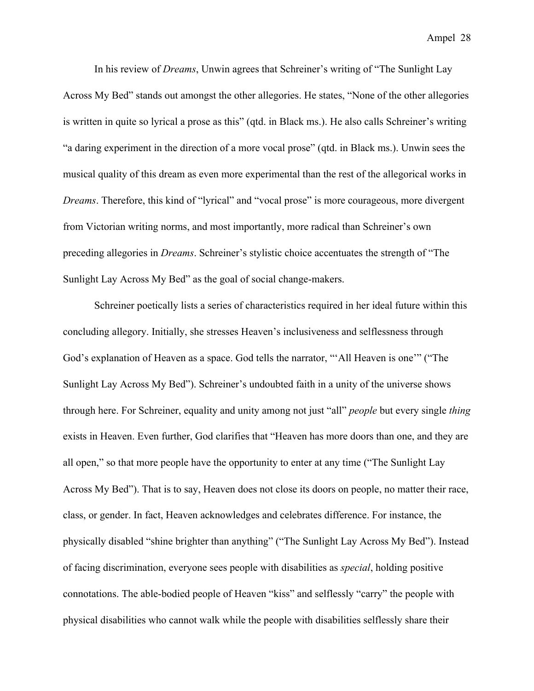In his review of *Dreams*, Unwin agrees that Schreiner's writing of "The Sunlight Lay Across My Bed" stands out amongst the other allegories. He states, "None of the other allegories is written in quite so lyrical a prose as this" (qtd. in Black ms.). He also calls Schreiner's writing "a daring experiment in the direction of a more vocal prose" (qtd. in Black ms.). Unwin sees the musical quality of this dream as even more experimental than the rest of the allegorical works in *Dreams*. Therefore, this kind of "lyrical" and "vocal prose" is more courageous, more divergent from Victorian writing norms, and most importantly, more radical than Schreiner's own preceding allegories in *Dreams*. Schreiner's stylistic choice accentuates the strength of "The Sunlight Lay Across My Bed" as the goal of social change-makers.

Schreiner poetically lists a series of characteristics required in her ideal future within this concluding allegory. Initially, she stresses Heaven's inclusiveness and selflessness through God's explanation of Heaven as a space. God tells the narrator, "'All Heaven is one'" ("The Sunlight Lay Across My Bed"). Schreiner's undoubted faith in a unity of the universe shows through here. For Schreiner, equality and unity among not just "all" *people* but every single *thing* exists in Heaven. Even further, God clarifies that "Heaven has more doors than one, and they are all open," so that more people have the opportunity to enter at any time ("The Sunlight Lay Across My Bed"). That is to say, Heaven does not close its doors on people, no matter their race, class, or gender. In fact, Heaven acknowledges and celebrates difference. For instance, the physically disabled "shine brighter than anything" ("The Sunlight Lay Across My Bed"). Instead of facing discrimination, everyone sees people with disabilities as *special*, holding positive connotations. The able-bodied people of Heaven "kiss" and selflessly "carry" the people with physical disabilities who cannot walk while the people with disabilities selflessly share their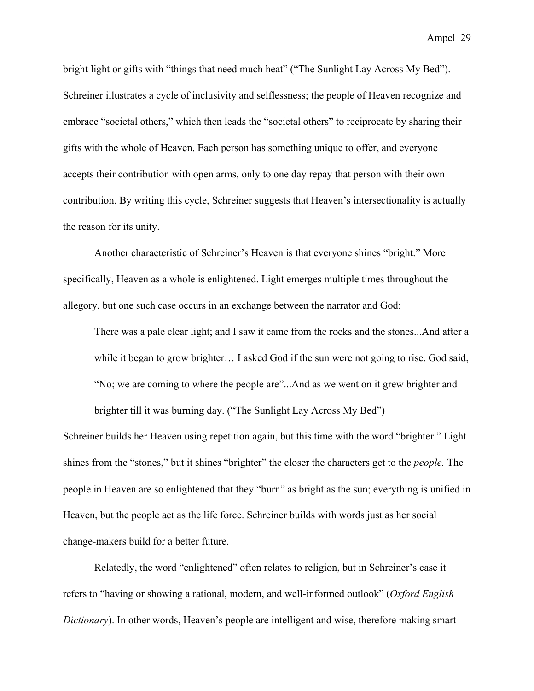bright light or gifts with "things that need much heat" ("The Sunlight Lay Across My Bed"). Schreiner illustrates a cycle of inclusivity and selflessness; the people of Heaven recognize and embrace "societal others," which then leads the "societal others" to reciprocate by sharing their gifts with the whole of Heaven. Each person has something unique to offer, and everyone accepts their contribution with open arms, only to one day repay that person with their own contribution. By writing this cycle, Schreiner suggests that Heaven's intersectionality is actually the reason for its unity.

Another characteristic of Schreiner's Heaven is that everyone shines "bright." More specifically, Heaven as a whole is enlightened. Light emerges multiple times throughout the allegory, but one such case occurs in an exchange between the narrator and God:

There was a pale clear light; and I saw it came from the rocks and the stones...And after a while it began to grow brighter… I asked God if the sun were not going to rise. God said, "No; we are coming to where the people are"...And as we went on it grew brighter and brighter till it was burning day. ("The Sunlight Lay Across My Bed")

Schreiner builds her Heaven using repetition again, but this time with the word "brighter." Light shines from the "stones," but it shines "brighter" the closer the characters get to the *people.* The people in Heaven are so enlightened that they "burn" as bright as the sun; everything is unified in Heaven, but the people act as the life force. Schreiner builds with words just as her social change-makers build for a better future.

Relatedly, the word "enlightened" often relates to religion, but in Schreiner's case it refers to "having or showing a rational, modern, and well-informed outlook" (*Oxford English Dictionary*). In other words, Heaven's people are intelligent and wise, therefore making smart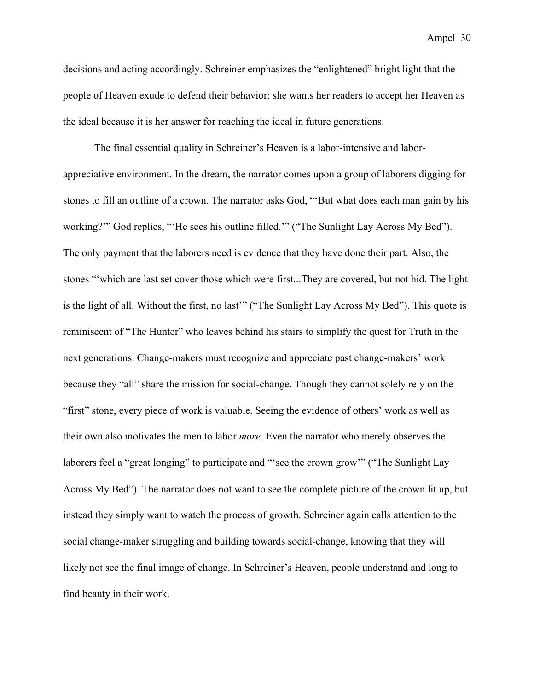decisions and acting accordingly. Schreiner emphasizes the "enlightened" bright light that the people of Heaven exude to defend their behavior; she wants her readers to accept her Heaven as the ideal because it is her answer for reaching the ideal in future generations.

The final essential quality in Schreiner's Heaven is a labor-intensive and laborappreciative environment. In the dream, the narrator comes upon a group of laborers digging for stones to fill an outline of a crown. The narrator asks God, "'But what does each man gain by his working?'" God replies, "'He sees his outline filled.'" ("The Sunlight Lay Across My Bed"). The only payment that the laborers need is evidence that they have done their part. Also, the stones "'which are last set cover those which were first...They are covered, but not hid. The light is the light of all. Without the first, no last" ("The Sunlight Lay Across My Bed"). This quote is reminiscent of "The Hunter" who leaves behind his stairs to simplify the quest for Truth in the next generations. Change-makers must recognize and appreciate past change-makers' work because they "all" share the mission for social-change. Though they cannot solely rely on the "first" stone, every piece of work is valuable. Seeing the evidence of others' work as well as their own also motivates the men to labor *more.* Even the narrator who merely observes the laborers feel a "great longing" to participate and "'see the crown grow'" ("The Sunlight Lay Across My Bed"). The narrator does not want to see the complete picture of the crown lit up, but instead they simply want to watch the process of growth. Schreiner again calls attention to the social change-maker struggling and building towards social-change, knowing that they will likely not see the final image of change. In Schreiner's Heaven, people understand and long to find beauty in their work.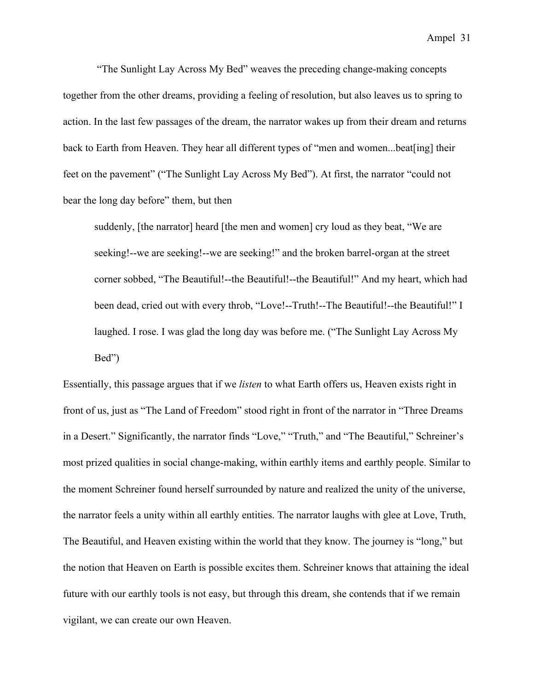"The Sunlight Lay Across My Bed" weaves the preceding change-making concepts together from the other dreams, providing a feeling of resolution, but also leaves us to spring to action. In the last few passages of the dream, the narrator wakes up from their dream and returns back to Earth from Heaven. They hear all different types of "men and women...beat[ing] their feet on the pavement" ("The Sunlight Lay Across My Bed"). At first, the narrator "could not bear the long day before" them, but then

suddenly, [the narrator] heard [the men and women] cry loud as they beat, "We are seeking!--we are seeking!--we are seeking!" and the broken barrel-organ at the street corner sobbed, "The Beautiful!--the Beautiful!--the Beautiful!" And my heart, which had been dead, cried out with every throb, "Love!--Truth!--The Beautiful!--the Beautiful!" I laughed. I rose. I was glad the long day was before me. ("The Sunlight Lay Across My Bed")

Essentially, this passage argues that if we *listen* to what Earth offers us, Heaven exists right in front of us, just as "The Land of Freedom" stood right in front of the narrator in "Three Dreams in a Desert." Significantly, the narrator finds "Love," "Truth," and "The Beautiful," Schreiner's most prized qualities in social change-making, within earthly items and earthly people. Similar to the moment Schreiner found herself surrounded by nature and realized the unity of the universe, the narrator feels a unity within all earthly entities. The narrator laughs with glee at Love, Truth, The Beautiful, and Heaven existing within the world that they know. The journey is "long," but the notion that Heaven on Earth is possible excites them. Schreiner knows that attaining the ideal future with our earthly tools is not easy, but through this dream, she contends that if we remain vigilant, we can create our own Heaven.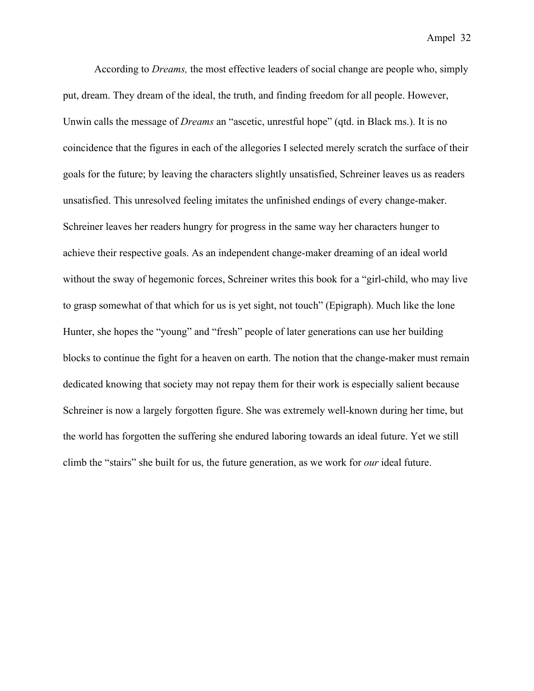According to *Dreams,* the most effective leaders of social change are people who, simply put, dream. They dream of the ideal, the truth, and finding freedom for all people. However, Unwin calls the message of *Dreams* an "ascetic, unrestful hope" (qtd. in Black ms.). It is no coincidence that the figures in each of the allegories I selected merely scratch the surface of their goals for the future; by leaving the characters slightly unsatisfied, Schreiner leaves us as readers unsatisfied. This unresolved feeling imitates the unfinished endings of every change-maker. Schreiner leaves her readers hungry for progress in the same way her characters hunger to achieve their respective goals. As an independent change-maker dreaming of an ideal world without the sway of hegemonic forces, Schreiner writes this book for a "girl-child, who may live to grasp somewhat of that which for us is yet sight, not touch" (Epigraph). Much like the lone Hunter, she hopes the "young" and "fresh" people of later generations can use her building blocks to continue the fight for a heaven on earth. The notion that the change-maker must remain dedicated knowing that society may not repay them for their work is especially salient because Schreiner is now a largely forgotten figure. She was extremely well-known during her time, but the world has forgotten the suffering she endured laboring towards an ideal future. Yet we still climb the "stairs" she built for us, the future generation, as we work for *our* ideal future.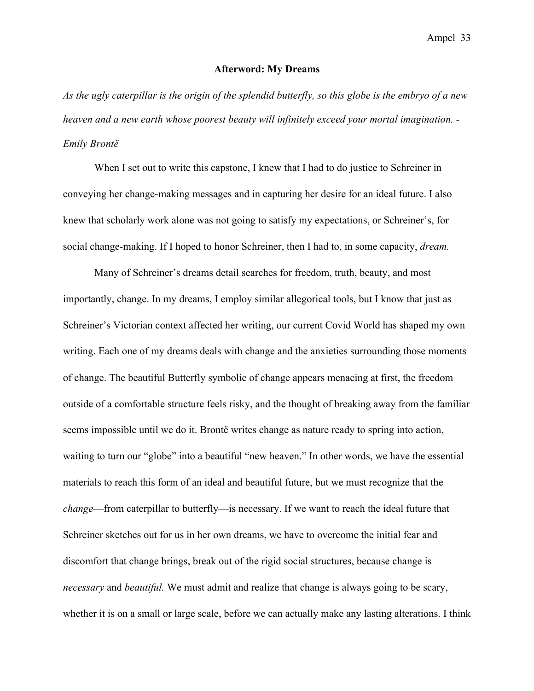#### **Afterword: My Dreams**

*As the ugly caterpillar is the origin of the splendid butterfly, so this globe is the embryo of a new heaven and a new earth whose poorest beauty will infinitely exceed your mortal imagination. - Emily Brontë*

When I set out to write this capstone, I knew that I had to do justice to Schreiner in conveying her change-making messages and in capturing her desire for an ideal future. I also knew that scholarly work alone was not going to satisfy my expectations, or Schreiner's, for social change-making. If I hoped to honor Schreiner, then I had to, in some capacity, *dream.* 

Many of Schreiner's dreams detail searches for freedom, truth, beauty, and most importantly, change. In my dreams, I employ similar allegorical tools, but I know that just as Schreiner's Victorian context affected her writing, our current Covid World has shaped my own writing. Each one of my dreams deals with change and the anxieties surrounding those moments of change. The beautiful Butterfly symbolic of change appears menacing at first, the freedom outside of a comfortable structure feels risky, and the thought of breaking away from the familiar seems impossible until we do it. Brontë writes change as nature ready to spring into action, waiting to turn our "globe" into a beautiful "new heaven." In other words, we have the essential materials to reach this form of an ideal and beautiful future, but we must recognize that the *change*—from caterpillar to butterfly—is necessary. If we want to reach the ideal future that Schreiner sketches out for us in her own dreams, we have to overcome the initial fear and discomfort that change brings, break out of the rigid social structures, because change is *necessary* and *beautiful.* We must admit and realize that change is always going to be scary, whether it is on a small or large scale, before we can actually make any lasting alterations. I think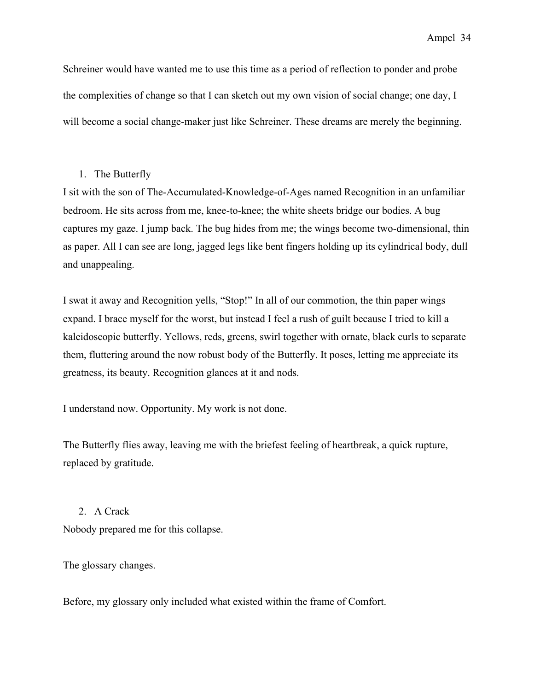Schreiner would have wanted me to use this time as a period of reflection to ponder and probe the complexities of change so that I can sketch out my own vision of social change; one day, I will become a social change-maker just like Schreiner. These dreams are merely the beginning.

# 1. The Butterfly

I sit with the son of The-Accumulated-Knowledge-of-Ages named Recognition in an unfamiliar bedroom. He sits across from me, knee-to-knee; the white sheets bridge our bodies. A bug captures my gaze. I jump back. The bug hides from me; the wings become two-dimensional, thin as paper. All I can see are long, jagged legs like bent fingers holding up its cylindrical body, dull and unappealing.

I swat it away and Recognition yells, "Stop!" In all of our commotion, the thin paper wings expand. I brace myself for the worst, but instead I feel a rush of guilt because I tried to kill a kaleidoscopic butterfly. Yellows, reds, greens, swirl together with ornate, black curls to separate them, fluttering around the now robust body of the Butterfly. It poses, letting me appreciate its greatness, its beauty. Recognition glances at it and nods.

I understand now. Opportunity. My work is not done.

The Butterfly flies away, leaving me with the briefest feeling of heartbreak, a quick rupture, replaced by gratitude.

## 2. A Crack

Nobody prepared me for this collapse.

The glossary changes.

Before, my glossary only included what existed within the frame of Comfort.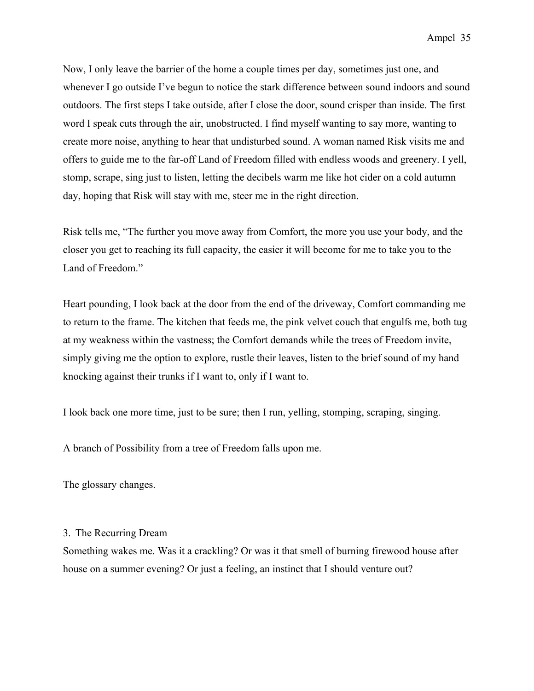Now, I only leave the barrier of the home a couple times per day, sometimes just one, and whenever I go outside I've begun to notice the stark difference between sound indoors and sound outdoors. The first steps I take outside, after I close the door, sound crisper than inside. The first word I speak cuts through the air, unobstructed. I find myself wanting to say more, wanting to create more noise, anything to hear that undisturbed sound. A woman named Risk visits me and offers to guide me to the far-off Land of Freedom filled with endless woods and greenery. I yell, stomp, scrape, sing just to listen, letting the decibels warm me like hot cider on a cold autumn day, hoping that Risk will stay with me, steer me in the right direction.

Risk tells me, "The further you move away from Comfort, the more you use your body, and the closer you get to reaching its full capacity, the easier it will become for me to take you to the Land of Freedom."

Heart pounding, I look back at the door from the end of the driveway, Comfort commanding me to return to the frame. The kitchen that feeds me, the pink velvet couch that engulfs me, both tug at my weakness within the vastness; the Comfort demands while the trees of Freedom invite, simply giving me the option to explore, rustle their leaves, listen to the brief sound of my hand knocking against their trunks if I want to, only if I want to.

I look back one more time, just to be sure; then I run, yelling, stomping, scraping, singing.

A branch of Possibility from a tree of Freedom falls upon me.

The glossary changes.

# 3. The Recurring Dream

Something wakes me. Was it a crackling? Or was it that smell of burning firewood house after house on a summer evening? Or just a feeling, an instinct that I should venture out?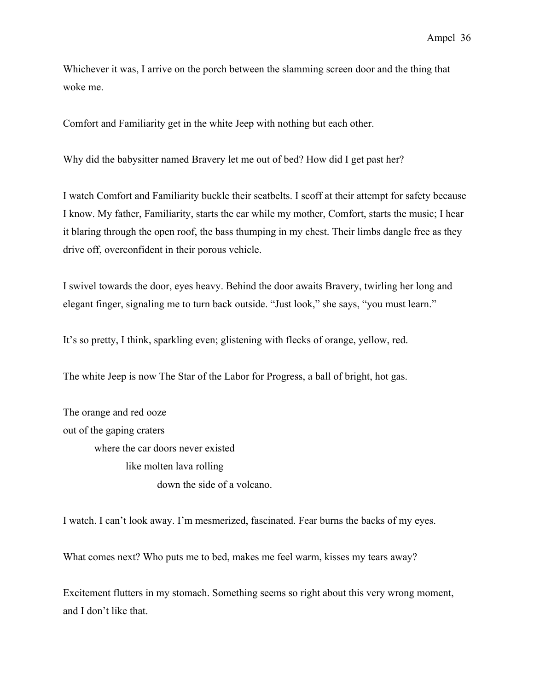Whichever it was, I arrive on the porch between the slamming screen door and the thing that woke me.

Comfort and Familiarity get in the white Jeep with nothing but each other.

Why did the babysitter named Bravery let me out of bed? How did I get past her?

I watch Comfort and Familiarity buckle their seatbelts. I scoff at their attempt for safety because I know. My father, Familiarity, starts the car while my mother, Comfort, starts the music; I hear it blaring through the open roof, the bass thumping in my chest. Their limbs dangle free as they drive off, overconfident in their porous vehicle.

I swivel towards the door, eyes heavy. Behind the door awaits Bravery, twirling her long and elegant finger, signaling me to turn back outside. "Just look," she says, "you must learn."

It's so pretty, I think, sparkling even; glistening with flecks of orange, yellow, red.

The white Jeep is now The Star of the Labor for Progress, a ball of bright, hot gas.

The orange and red ooze out of the gaping craters where the car doors never existed like molten lava rolling down the side of a volcano.

I watch. I can't look away. I'm mesmerized, fascinated. Fear burns the backs of my eyes.

What comes next? Who puts me to bed, makes me feel warm, kisses my tears away?

Excitement flutters in my stomach. Something seems so right about this very wrong moment, and I don't like that.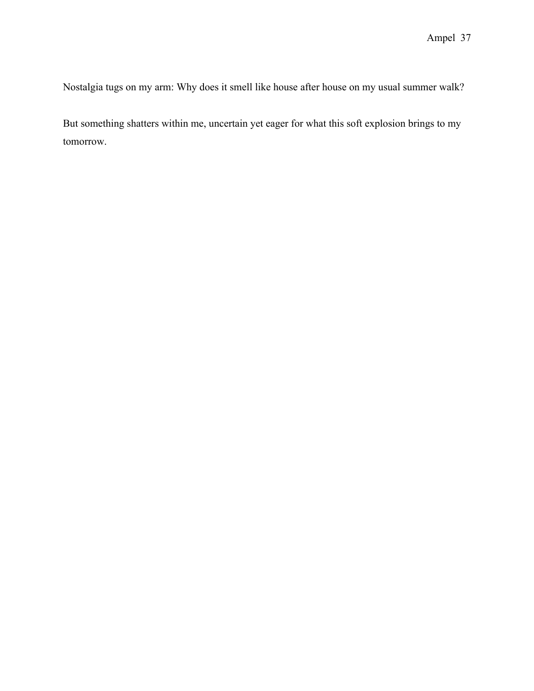Nostalgia tugs on my arm: Why does it smell like house after house on my usual summer walk?

But something shatters within me, uncertain yet eager for what this soft explosion brings to my tomorrow.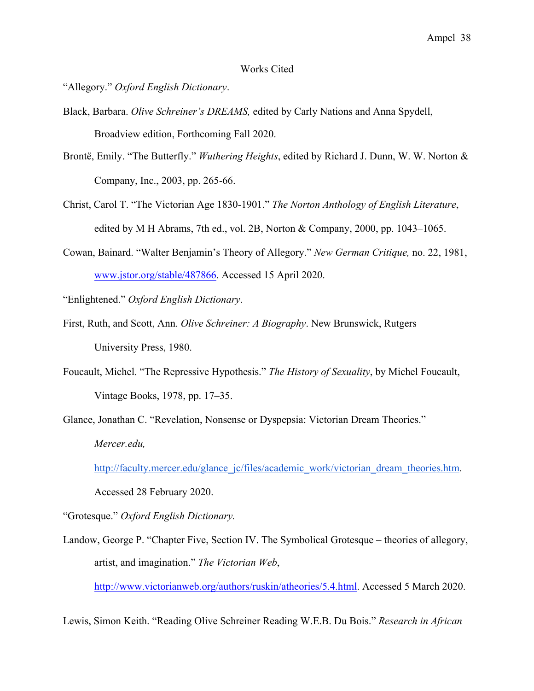#### Works Cited

"Allegory." *Oxford English Dictionary*.

- Black, Barbara. *Olive Schreiner's DREAMS,* edited by Carly Nations and Anna Spydell, Broadview edition, Forthcoming Fall 2020.
- Brontë, Emily. "The Butterfly." *Wuthering Heights*, edited by Richard J. Dunn, W. W. Norton & Company, Inc., 2003, pp. 265-66.
- Christ, Carol T. "The Victorian Age 1830-1901." *The Norton Anthology of English Literature*, edited by M H Abrams, 7th ed., vol. 2B, Norton & Company, 2000, pp.  $1043-1065$ .
- Cowan, Bainard. "Walter Benjamin's Theory of Allegory." *New German Critique,* no. 22, 1981, www.jstor.org/stable/487866. Accessed 15 April 2020.

"Enlightened." *Oxford English Dictionary*.

- First, Ruth, and Scott, Ann. *Olive Schreiner: A Biography*. New Brunswick, Rutgers University Press, 1980.
- Foucault, Michel. "The Repressive Hypothesis." *The History of Sexuality*, by Michel Foucault, Vintage Books, 1978, pp. 17–35.

Glance, Jonathan C. "Revelation, Nonsense or Dyspepsia: Victorian Dream Theories." *Mercer.edu,* 

http://faculty.mercer.edu/glance\_jc/files/academic\_work/victorian\_dream\_theories.htm.

Accessed 28 February 2020.

"Grotesque." *Oxford English Dictionary.* 

Landow, George P. "Chapter Five, Section IV. The Symbolical Grotesque – theories of allegory, artist, and imagination." *The Victorian Web*,

http://www.victorianweb.org/authors/ruskin/atheories/5.4.html. Accessed 5 March 2020.

Lewis, Simon Keith. "Reading Olive Schreiner Reading W.E.B. Du Bois." *Research in African*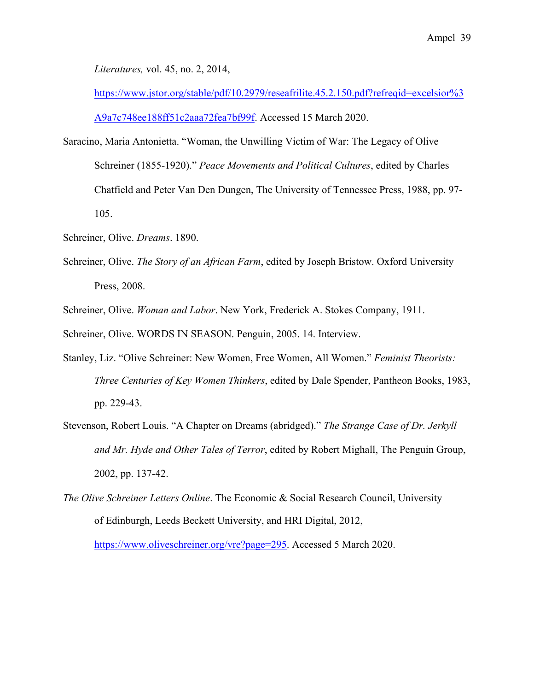*Literatures,* vol. 45, no. 2, 2014,

https://www.jstor.org/stable/pdf/10.2979/reseafrilite.45.2.150.pdf?refreqid=excelsior%3 A9a7c748ee188ff51c2aaa72fea7bf99f. Accessed 15 March 2020.

- Saracino, Maria Antonietta. "Woman, the Unwilling Victim of War: The Legacy of Olive Schreiner (1855-1920)." *Peace Movements and Political Cultures*, edited by Charles Chatfield and Peter Van Den Dungen, The University of Tennessee Press, 1988, pp. 97- 105.
- Schreiner, Olive. *Dreams*. 1890.
- Schreiner, Olive. *The Story of an African Farm*, edited by Joseph Bristow. Oxford University Press, 2008.

Schreiner, Olive. *Woman and Labor*. New York, Frederick A. Stokes Company, 1911.

Schreiner, Olive. WORDS IN SEASON. Penguin, 2005. 14. Interview.

- Stanley, Liz. "Olive Schreiner: New Women, Free Women, All Women." *Feminist Theorists: Three Centuries of Key Women Thinkers*, edited by Dale Spender, Pantheon Books, 1983, pp. 229-43.
- Stevenson, Robert Louis. "A Chapter on Dreams (abridged)." *The Strange Case of Dr. Jerkyll and Mr. Hyde and Other Tales of Terror*, edited by Robert Mighall, The Penguin Group, 2002, pp. 137-42.
- *The Olive Schreiner Letters Online*. The Economic & Social Research Council, University of Edinburgh, Leeds Beckett University, and HRI Digital, 2012,

https://www.oliveschreiner.org/vre?page=295. Accessed 5 March 2020.